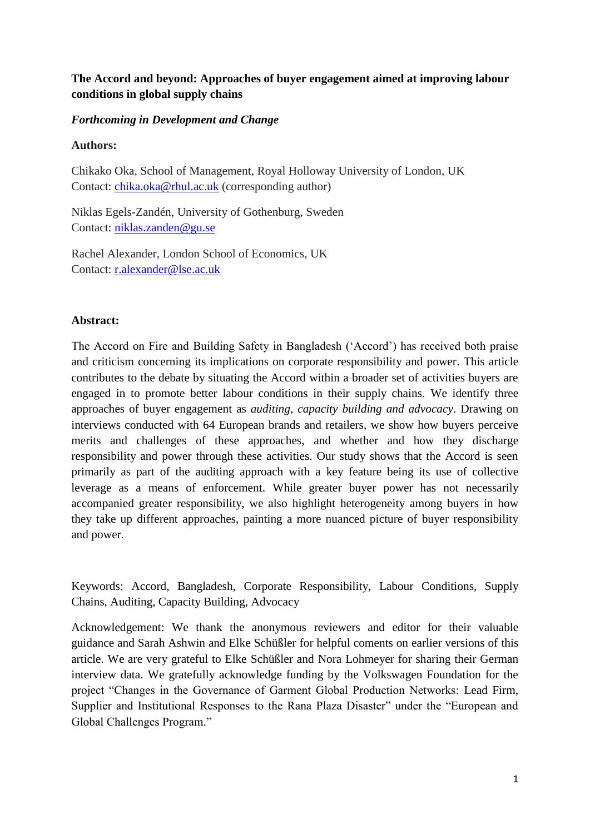# **The Accord and beyond: Approaches of buyer engagement aimed at improving labour conditions in global supply chains**

## *Forthcoming in Development and Change*

## **Authors:**

Chikako Oka, School of Management, Royal Holloway University of London, UK Contact: [chika.oka@rhul.ac.uk](mailto:chika.oka@rhul.ac.uk) (corresponding author)

Niklas Egels-Zandén, University of Gothenburg, Sweden Contact: [niklas.zanden@gu.se](mailto:niklas.zanden@gu.se)

Rachel Alexander, London School of Economics, UK Contact: [r.alexander@lse.ac.uk](mailto:r.alexander@lse.ac.uk)

# **Abstract:**

The Accord on Fire and Building Safety in Bangladesh ('Accord') has received both praise and criticism concerning its implications on corporate responsibility and power. This article contributes to the debate by situating the Accord within a broader set of activities buyers are engaged in to promote better labour conditions in their supply chains. We identify three approaches of buyer engagement as *auditing, capacity building and advocacy*. Drawing on interviews conducted with 64 European brands and retailers, we show how buyers perceive merits and challenges of these approaches, and whether and how they discharge responsibility and power through these activities. Our study shows that the Accord is seen primarily as part of the auditing approach with a key feature being its use of collective leverage as a means of enforcement. While greater buyer power has not necessarily accompanied greater responsibility, we also highlight heterogeneity among buyers in how they take up different approaches, painting a more nuanced picture of buyer responsibility and power.

Keywords: Accord, Bangladesh, Corporate Responsibility, Labour Conditions, Supply Chains, Auditing, Capacity Building, Advocacy

Acknowledgement: We thank the anonymous reviewers and editor for their valuable guidance and Sarah Ashwin and Elke Schüßler for helpful coments on earlier versions of this article. We are very grateful to Elke Schüßler and Nora Lohmeyer for sharing their German interview data. We gratefully acknowledge funding by the Volkswagen Foundation for the project "Changes in the Governance of Garment Global Production Networks: Lead Firm, Supplier and Institutional Responses to the Rana Plaza Disaster" under the "European and Global Challenges Program."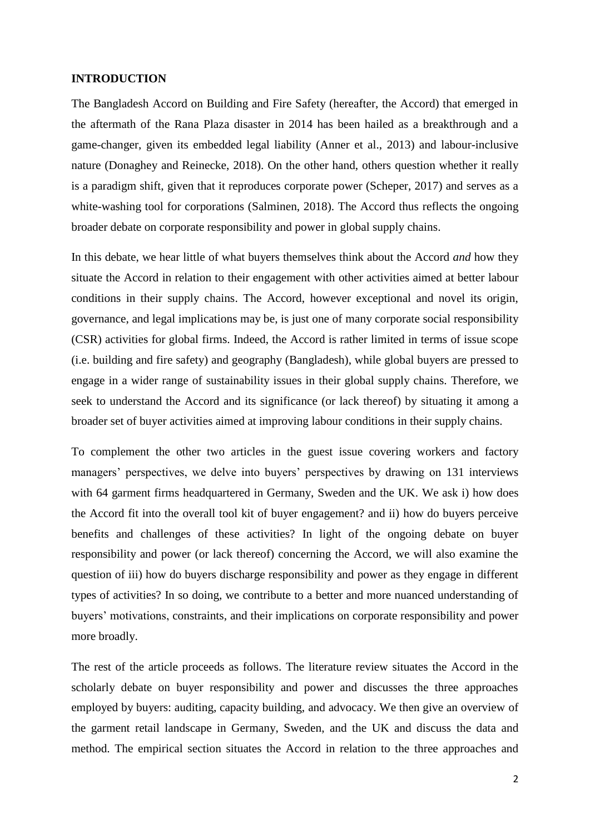#### **INTRODUCTION**

The Bangladesh Accord on Building and Fire Safety (hereafter, the Accord) that emerged in the aftermath of the Rana Plaza disaster in 2014 has been hailed as a breakthrough and a game-changer, given its embedded legal liability (Anner et al., 2013) and labour-inclusive nature (Donaghey and Reinecke, 2018). On the other hand, others question whether it really is a paradigm shift, given that it reproduces corporate power (Scheper, 2017) and serves as a white-washing tool for corporations (Salminen, 2018). The Accord thus reflects the ongoing broader debate on corporate responsibility and power in global supply chains.

In this debate, we hear little of what buyers themselves think about the Accord *and* how they situate the Accord in relation to their engagement with other activities aimed at better labour conditions in their supply chains. The Accord, however exceptional and novel its origin, governance, and legal implications may be, is just one of many corporate social responsibility (CSR) activities for global firms. Indeed, the Accord is rather limited in terms of issue scope (i.e. building and fire safety) and geography (Bangladesh), while global buyers are pressed to engage in a wider range of sustainability issues in their global supply chains. Therefore, we seek to understand the Accord and its significance (or lack thereof) by situating it among a broader set of buyer activities aimed at improving labour conditions in their supply chains.

To complement the other two articles in the guest issue covering workers and factory managers' perspectives, we delve into buyers' perspectives by drawing on 131 interviews with 64 garment firms headquartered in Germany, Sweden and the UK. We ask i) how does the Accord fit into the overall tool kit of buyer engagement? and ii) how do buyers perceive benefits and challenges of these activities? In light of the ongoing debate on buyer responsibility and power (or lack thereof) concerning the Accord, we will also examine the question of iii) how do buyers discharge responsibility and power as they engage in different types of activities? In so doing, we contribute to a better and more nuanced understanding of buyers' motivations, constraints, and their implications on corporate responsibility and power more broadly.

The rest of the article proceeds as follows. The literature review situates the Accord in the scholarly debate on buyer responsibility and power and discusses the three approaches employed by buyers: auditing, capacity building, and advocacy. We then give an overview of the garment retail landscape in Germany, Sweden, and the UK and discuss the data and method. The empirical section situates the Accord in relation to the three approaches and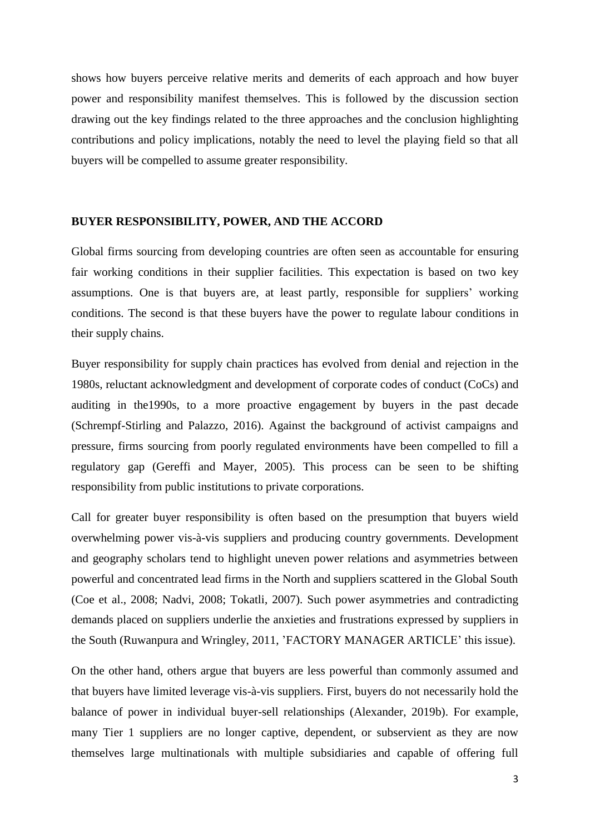shows how buyers perceive relative merits and demerits of each approach and how buyer power and responsibility manifest themselves. This is followed by the discussion section drawing out the key findings related to the three approaches and the conclusion highlighting contributions and policy implications, notably the need to level the playing field so that all buyers will be compelled to assume greater responsibility.

#### **BUYER RESPONSIBILITY, POWER, AND THE ACCORD**

Global firms sourcing from developing countries are often seen as accountable for ensuring fair working conditions in their supplier facilities. This expectation is based on two key assumptions. One is that buyers are, at least partly, responsible for suppliers' working conditions. The second is that these buyers have the power to regulate labour conditions in their supply chains.

Buyer responsibility for supply chain practices has evolved from denial and rejection in the 1980s, reluctant acknowledgment and development of corporate codes of conduct (CoCs) and auditing in the1990s, to a more proactive engagement by buyers in the past decade (Schrempf-Stirling and Palazzo, 2016). Against the background of activist campaigns and pressure, firms sourcing from poorly regulated environments have been compelled to fill a regulatory gap (Gereffi and Mayer, 2005). This process can be seen to be shifting responsibility from public institutions to private corporations.

Call for greater buyer responsibility is often based on the presumption that buyers wield overwhelming power vis-à-vis suppliers and producing country governments. Development and geography scholars tend to highlight uneven power relations and asymmetries between powerful and concentrated lead firms in the North and suppliers scattered in the Global South (Coe et al., 2008; Nadvi, 2008; Tokatli, 2007). Such power asymmetries and contradicting demands placed on suppliers underlie the anxieties and frustrations expressed by suppliers in the South (Ruwanpura and Wringley, 2011, 'FACTORY MANAGER ARTICLE' this issue).

On the other hand, others argue that buyers are less powerful than commonly assumed and that buyers have limited leverage vis-à-vis suppliers. First, buyers do not necessarily hold the balance of power in individual buyer-sell relationships (Alexander, 2019b). For example, many Tier 1 suppliers are no longer captive, dependent, or subservient as they are now themselves large multinationals with multiple subsidiaries and capable of offering full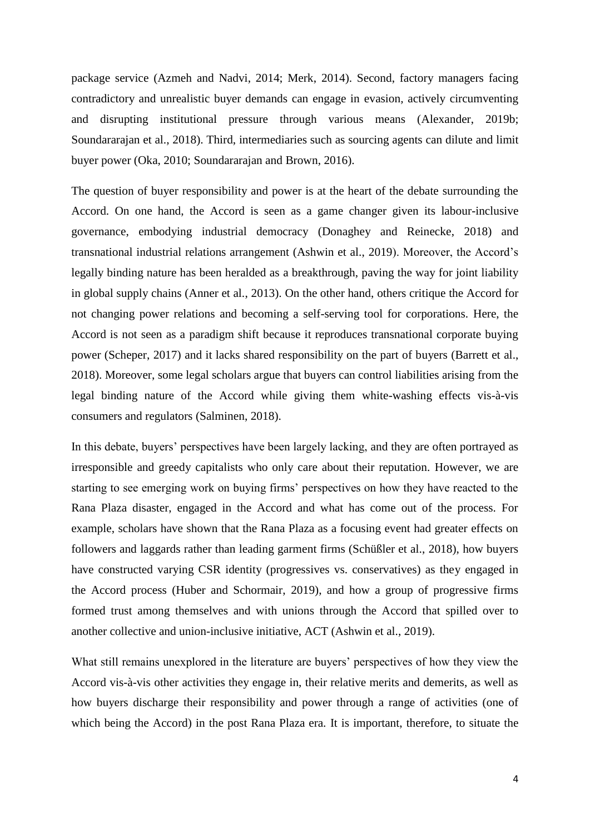package service (Azmeh and Nadvi, 2014; Merk, 2014). Second, factory managers facing contradictory and unrealistic buyer demands can engage in evasion*,* actively circumventing and disrupting institutional pressure through various means (Alexander, 2019b; Soundararajan et al., 2018). Third, intermediaries such as sourcing agents can dilute and limit buyer power (Oka, 2010; Soundararajan and Brown, 2016).

The question of buyer responsibility and power is at the heart of the debate surrounding the Accord. On one hand, the Accord is seen as a game changer given its labour-inclusive governance, embodying industrial democracy (Donaghey and Reinecke, 2018) and transnational industrial relations arrangement (Ashwin et al., 2019). Moreover, the Accord's legally binding nature has been heralded as a breakthrough, paving the way for joint liability in global supply chains (Anner et al., 2013). On the other hand, others critique the Accord for not changing power relations and becoming a self-serving tool for corporations. Here, the Accord is not seen as a paradigm shift because it reproduces transnational corporate buying power (Scheper, 2017) and it lacks shared responsibility on the part of buyers (Barrett et al., 2018). Moreover, some legal scholars argue that buyers can control liabilities arising from the legal binding nature of the Accord while giving them white-washing effects vis-à-vis consumers and regulators (Salminen, 2018).

In this debate, buyers' perspectives have been largely lacking, and they are often portrayed as irresponsible and greedy capitalists who only care about their reputation. However, we are starting to see emerging work on buying firms' perspectives on how they have reacted to the Rana Plaza disaster, engaged in the Accord and what has come out of the process. For example, scholars have shown that the Rana Plaza as a focusing event had greater effects on followers and laggards rather than leading garment firms (Schüßler et al., 2018), how buyers have constructed varying CSR identity (progressives vs. conservatives) as they engaged in the Accord process (Huber and Schormair, 2019), and how a group of progressive firms formed trust among themselves and with unions through the Accord that spilled over to another collective and union-inclusive initiative, ACT (Ashwin et al., 2019).

What still remains unexplored in the literature are buyers' perspectives of how they view the Accord vis-à-vis other activities they engage in, their relative merits and demerits, as well as how buyers discharge their responsibility and power through a range of activities (one of which being the Accord) in the post Rana Plaza era. It is important, therefore, to situate the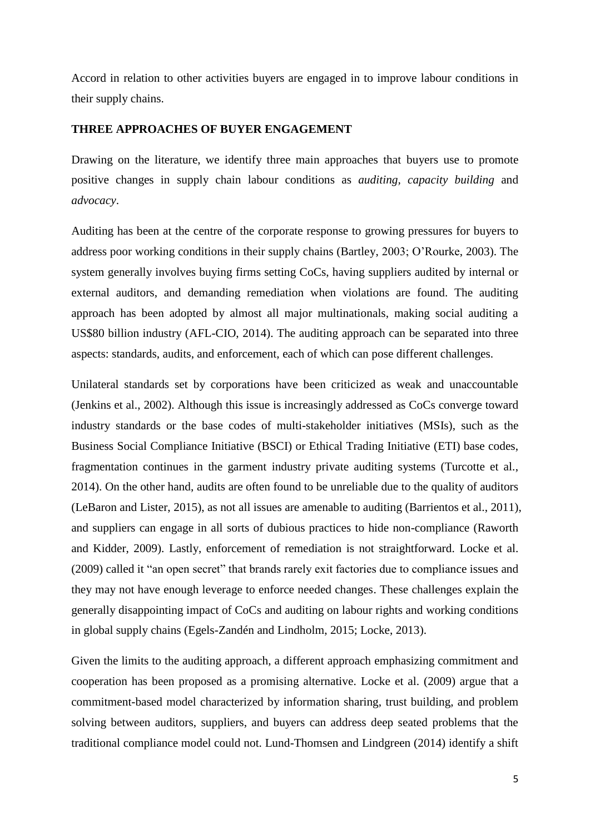Accord in relation to other activities buyers are engaged in to improve labour conditions in their supply chains.

#### **THREE APPROACHES OF BUYER ENGAGEMENT**

Drawing on the literature, we identify three main approaches that buyers use to promote positive changes in supply chain labour conditions as *auditing, capacity building* and *advocacy*.

Auditing has been at the centre of the corporate response to growing pressures for buyers to address poor working conditions in their supply chains (Bartley, 2003; O'Rourke, 2003). The system generally involves buying firms setting CoCs, having suppliers audited by internal or external auditors, and demanding remediation when violations are found. The auditing approach has been adopted by almost all major multinationals, making social auditing a US\$80 billion industry (AFL-CIO, 2014). The auditing approach can be separated into three aspects: standards, audits, and enforcement, each of which can pose different challenges.

Unilateral standards set by corporations have been criticized as weak and unaccountable (Jenkins et al., 2002). Although this issue is increasingly addressed as CoCs converge toward industry standards or the base codes of multi-stakeholder initiatives (MSIs), such as the Business Social Compliance Initiative (BSCI) or Ethical Trading Initiative (ETI) base codes, fragmentation continues in the garment industry private auditing systems (Turcotte et al., 2014). On the other hand, audits are often found to be unreliable due to the quality of auditors (LeBaron and Lister, 2015), as not all issues are amenable to auditing (Barrientos et al., 2011), and suppliers can engage in all sorts of dubious practices to hide non-compliance (Raworth and Kidder, 2009). Lastly, enforcement of remediation is not straightforward. Locke et al. (2009) called it "an open secret" that brands rarely exit factories due to compliance issues and they may not have enough leverage to enforce needed changes. These challenges explain the generally disappointing impact of CoCs and auditing on labour rights and working conditions in global supply chains (Egels-Zandén and Lindholm, 2015; Locke, 2013).

Given the limits to the auditing approach, a different approach emphasizing commitment and cooperation has been proposed as a promising alternative. Locke et al. (2009) argue that a commitment-based model characterized by information sharing, trust building, and problem solving between auditors, suppliers, and buyers can address deep seated problems that the traditional compliance model could not. Lund-Thomsen and Lindgreen (2014) identify a shift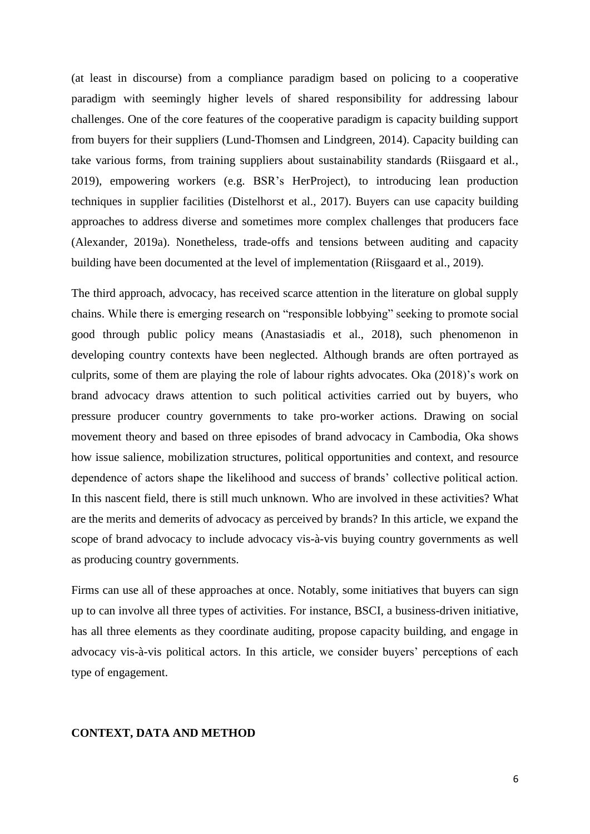(at least in discourse) from a compliance paradigm based on policing to a cooperative paradigm with seemingly higher levels of shared responsibility for addressing labour challenges. One of the core features of the cooperative paradigm is capacity building support from buyers for their suppliers (Lund-Thomsen and Lindgreen, 2014). Capacity building can take various forms, from training suppliers about sustainability standards (Riisgaard et al., 2019), empowering workers (e.g. BSR's HerProject), to introducing lean production techniques in supplier facilities (Distelhorst et al., 2017). Buyers can use capacity building approaches to address diverse and sometimes more complex challenges that producers face (Alexander, 2019a). Nonetheless, trade-offs and tensions between auditing and capacity building have been documented at the level of implementation (Riisgaard et al., 2019).

The third approach, advocacy, has received scarce attention in the literature on global supply chains. While there is emerging research on "responsible lobbying" seeking to promote social good through public policy means (Anastasiadis et al., 2018), such phenomenon in developing country contexts have been neglected. Although brands are often portrayed as culprits, some of them are playing the role of labour rights advocates. Oka (2018)'s work on brand advocacy draws attention to such political activities carried out by buyers, who pressure producer country governments to take pro-worker actions. Drawing on social movement theory and based on three episodes of brand advocacy in Cambodia, Oka shows how issue salience, mobilization structures, political opportunities and context, and resource dependence of actors shape the likelihood and success of brands' collective political action. In this nascent field, there is still much unknown. Who are involved in these activities? What are the merits and demerits of advocacy as perceived by brands? In this article, we expand the scope of brand advocacy to include advocacy vis-à-vis buying country governments as well as producing country governments.

Firms can use all of these approaches at once. Notably, some initiatives that buyers can sign up to can involve all three types of activities. For instance, BSCI, a business-driven initiative, has all three elements as they coordinate auditing, propose capacity building, and engage in advocacy vis-à-vis political actors. In this article, we consider buyers' perceptions of each type of engagement.

#### **CONTEXT, DATA AND METHOD**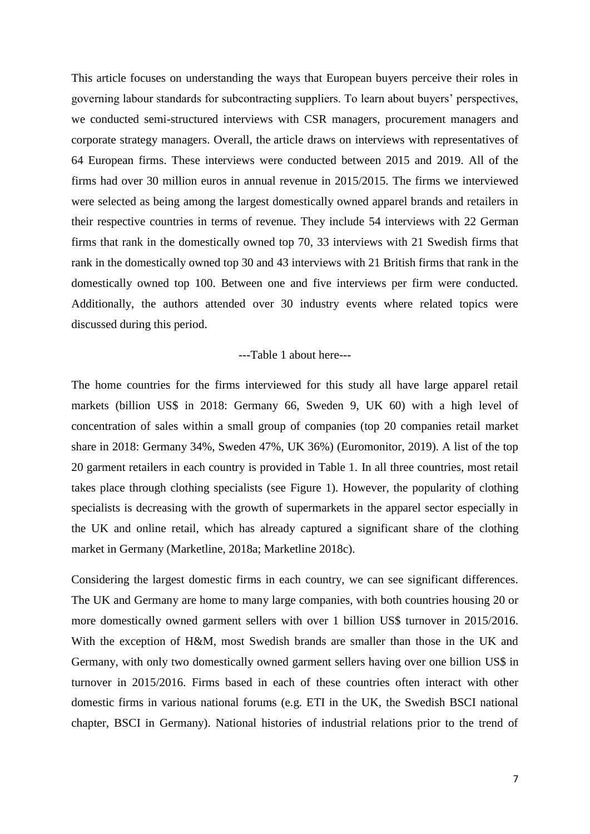This article focuses on understanding the ways that European buyers perceive their roles in governing labour standards for subcontracting suppliers. To learn about buyers' perspectives, we conducted semi-structured interviews with CSR managers, procurement managers and corporate strategy managers. Overall, the article draws on interviews with representatives of 64 European firms. These interviews were conducted between 2015 and 2019. All of the firms had over 30 million euros in annual revenue in 2015/2015. The firms we interviewed were selected as being among the largest domestically owned apparel brands and retailers in their respective countries in terms of revenue. They include 54 interviews with 22 German firms that rank in the domestically owned top 70, 33 interviews with 21 Swedish firms that rank in the domestically owned top 30 and 43 interviews with 21 British firms that rank in the domestically owned top 100. Between one and five interviews per firm were conducted. Additionally, the authors attended over 30 industry events where related topics were discussed during this period.

#### ---Table 1 about here---

The home countries for the firms interviewed for this study all have large apparel retail markets (billion US\$ in 2018: Germany 66, Sweden 9, UK 60) with a high level of concentration of sales within a small group of companies (top 20 companies retail market share in 2018: Germany 34%, Sweden 47%, UK 36%) (Euromonitor, 2019). A list of the top 20 garment retailers in each country is provided in Table 1. In all three countries, most retail takes place through clothing specialists (see Figure 1). However, the popularity of clothing specialists is decreasing with the growth of supermarkets in the apparel sector especially in the UK and online retail, which has already captured a significant share of the clothing market in Germany (Marketline, 2018a; Marketline 2018c).

Considering the largest domestic firms in each country, we can see significant differences. The UK and Germany are home to many large companies, with both countries housing 20 or more domestically owned garment sellers with over 1 billion US\$ turnover in 2015/2016. With the exception of H&M, most Swedish brands are smaller than those in the UK and Germany, with only two domestically owned garment sellers having over one billion US\$ in turnover in 2015/2016. Firms based in each of these countries often interact with other domestic firms in various national forums (e.g. ETI in the UK, the Swedish BSCI national chapter, BSCI in Germany). National histories of industrial relations prior to the trend of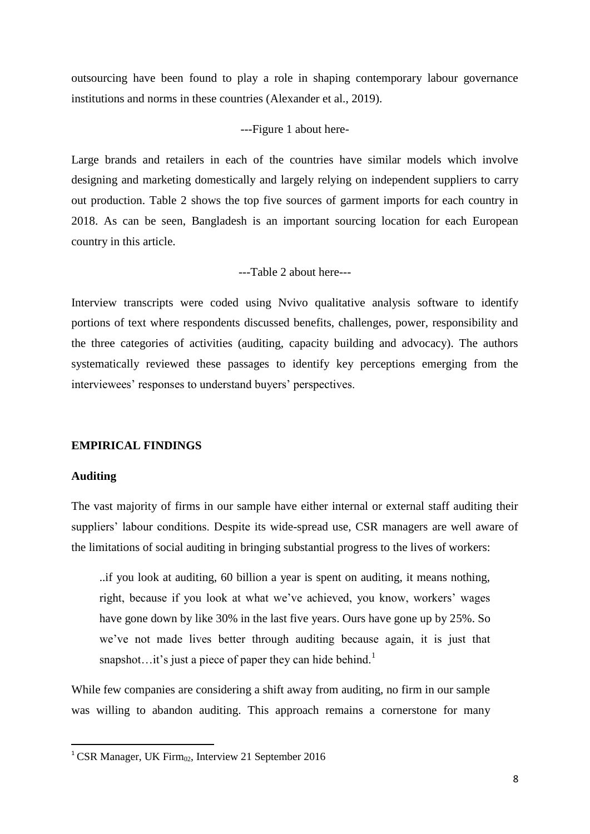outsourcing have been found to play a role in shaping contemporary labour governance institutions and norms in these countries (Alexander et al., 2019).

## ---Figure 1 about here-

Large brands and retailers in each of the countries have similar models which involve designing and marketing domestically and largely relying on independent suppliers to carry out production. Table 2 shows the top five sources of garment imports for each country in 2018. As can be seen, Bangladesh is an important sourcing location for each European country in this article.

---Table 2 about here---

Interview transcripts were coded using Nvivo qualitative analysis software to identify portions of text where respondents discussed benefits, challenges, power, responsibility and the three categories of activities (auditing, capacity building and advocacy). The authors systematically reviewed these passages to identify key perceptions emerging from the interviewees' responses to understand buyers' perspectives.

#### **EMPIRICAL FINDINGS**

#### **Auditing**

**.** 

The vast majority of firms in our sample have either internal or external staff auditing their suppliers' labour conditions. Despite its wide-spread use, CSR managers are well aware of the limitations of social auditing in bringing substantial progress to the lives of workers:

..if you look at auditing, 60 billion a year is spent on auditing, it means nothing, right, because if you look at what we've achieved, you know, workers' wages have gone down by like 30% in the last five years. Ours have gone up by 25%. So we've not made lives better through auditing because again, it is just that snapshot...it's just a piece of paper they can hide behind.<sup>1</sup>

While few companies are considering a shift away from auditing, no firm in our sample was willing to abandon auditing. This approach remains a cornerstone for many

<sup>&</sup>lt;sup>1</sup> CSR Manager, UK Firm $\omega$ , Interview 21 September 2016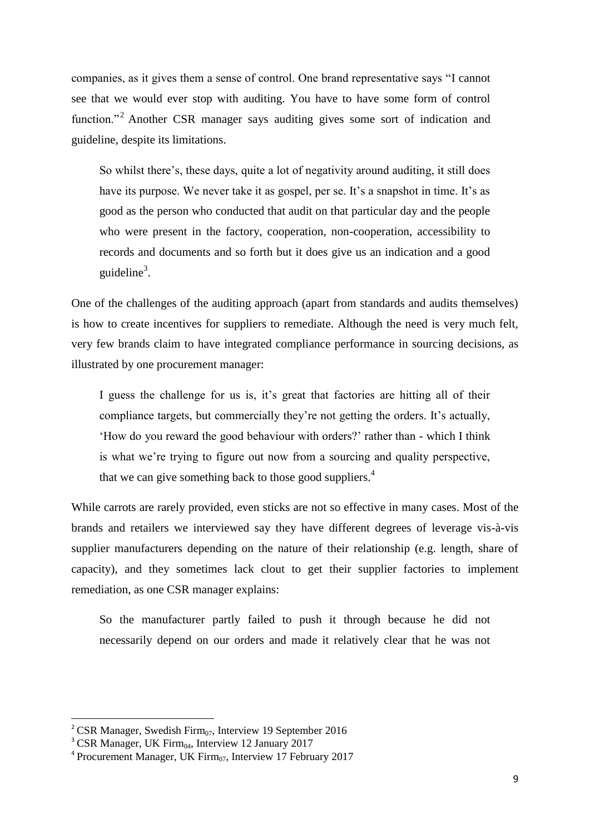companies, as it gives them a sense of control. One brand representative says "I cannot see that we would ever stop with auditing. You have to have some form of control function."<sup>2</sup> Another CSR manager says auditing gives some sort of indication and guideline, despite its limitations.

So whilst there's, these days, quite a lot of negativity around auditing, it still does have its purpose. We never take it as gospel, per se. It's a snapshot in time. It's as good as the person who conducted that audit on that particular day and the people who were present in the factory, cooperation, non-cooperation, accessibility to records and documents and so forth but it does give us an indication and a good guideline<sup>3</sup>.

One of the challenges of the auditing approach (apart from standards and audits themselves) is how to create incentives for suppliers to remediate. Although the need is very much felt, very few brands claim to have integrated compliance performance in sourcing decisions, as illustrated by one procurement manager:

I guess the challenge for us is, it's great that factories are hitting all of their compliance targets, but commercially they're not getting the orders. It's actually, 'How do you reward the good behaviour with orders?' rather than - which I think is what we're trying to figure out now from a sourcing and quality perspective, that we can give something back to those good suppliers.<sup>4</sup>

While carrots are rarely provided, even sticks are not so effective in many cases. Most of the brands and retailers we interviewed say they have different degrees of leverage vis-à-vis supplier manufacturers depending on the nature of their relationship (e.g. length, share of capacity), and they sometimes lack clout to get their supplier factories to implement remediation, as one CSR manager explains:

So the manufacturer partly failed to push it through because he did not necessarily depend on our orders and made it relatively clear that he was not

<sup>&</sup>lt;sup>2</sup> CSR Manager, Swedish Firm<sub>07</sub>, Interview 19 September 2016

 $3$  CSR Manager, UK Firm<sub>04</sub>, Interview 12 January 2017

 $4$  Procurement Manager, UK Firm $_{07}$ , Interview 17 February 2017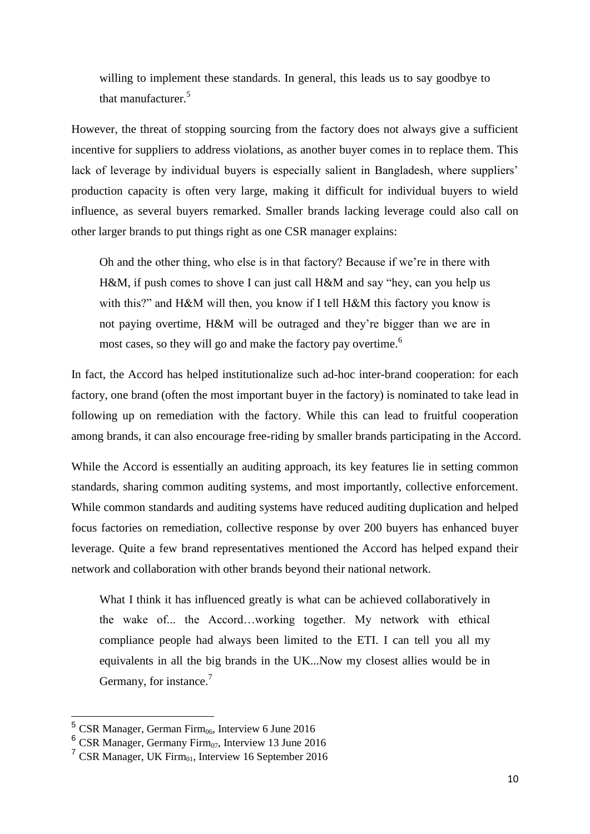willing to implement these standards. In general, this leads us to say goodbye to that manufacturer.<sup>5</sup>

However, the threat of stopping sourcing from the factory does not always give a sufficient incentive for suppliers to address violations, as another buyer comes in to replace them. This lack of leverage by individual buyers is especially salient in Bangladesh, where suppliers' production capacity is often very large, making it difficult for individual buyers to wield influence, as several buyers remarked. Smaller brands lacking leverage could also call on other larger brands to put things right as one CSR manager explains:

Oh and the other thing, who else is in that factory? Because if we're in there with H&M, if push comes to shove I can just call H&M and say "hey, can you help us with this?" and H&M will then, you know if I tell H&M this factory you know is not paying overtime, H&M will be outraged and they're bigger than we are in most cases, so they will go and make the factory pay overtime.<sup>6</sup>

In fact, the Accord has helped institutionalize such ad-hoc inter-brand cooperation: for each factory, one brand (often the most important buyer in the factory) is nominated to take lead in following up on remediation with the factory. While this can lead to fruitful cooperation among brands, it can also encourage free-riding by smaller brands participating in the Accord.

While the Accord is essentially an auditing approach, its key features lie in setting common standards, sharing common auditing systems, and most importantly, collective enforcement. While common standards and auditing systems have reduced auditing duplication and helped focus factories on remediation, collective response by over 200 buyers has enhanced buyer leverage. Quite a few brand representatives mentioned the Accord has helped expand their network and collaboration with other brands beyond their national network.

What I think it has influenced greatly is what can be achieved collaboratively in the wake of... the Accord…working together. My network with ethical compliance people had always been limited to the ETI. I can tell you all my equivalents in all the big brands in the UK...Now my closest allies would be in Germany, for instance.<sup>7</sup>

 $5$  CSR Manager, German Firm<sub>06</sub>, Interview 6 June 2016

 $6$  CSR Manager, Germany Firm<sub>07</sub>, Interview 13 June 2016

 $7$  CSR Manager, UK Firm $_{01}$ , Interview 16 September 2016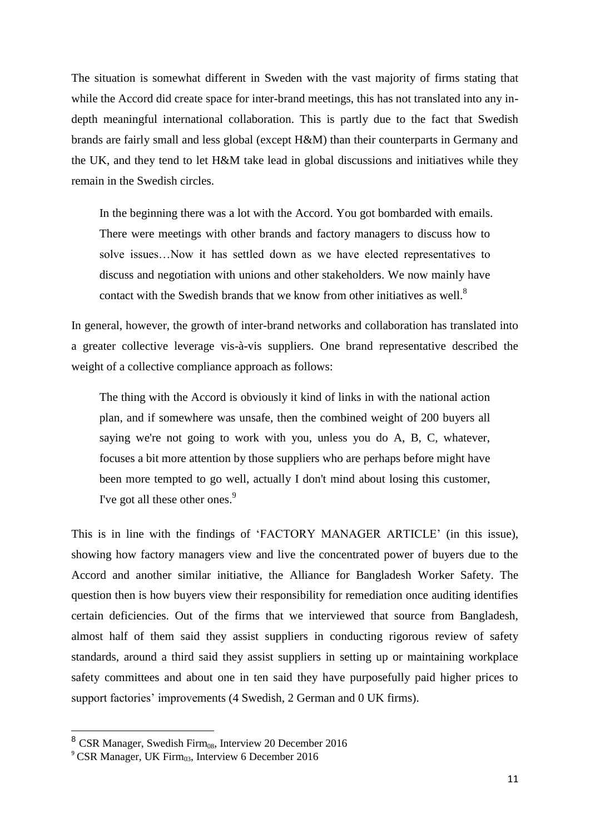The situation is somewhat different in Sweden with the vast majority of firms stating that while the Accord did create space for inter-brand meetings, this has not translated into any indepth meaningful international collaboration. This is partly due to the fact that Swedish brands are fairly small and less global (except H&M) than their counterparts in Germany and the UK, and they tend to let H&M take lead in global discussions and initiatives while they remain in the Swedish circles.

In the beginning there was a lot with the Accord. You got bombarded with emails. There were meetings with other brands and factory managers to discuss how to solve issues…Now it has settled down as we have elected representatives to discuss and negotiation with unions and other stakeholders. We now mainly have contact with the Swedish brands that we know from other initiatives as well.<sup>8</sup>

In general, however, the growth of inter-brand networks and collaboration has translated into a greater collective leverage vis-à-vis suppliers. One brand representative described the weight of a collective compliance approach as follows:

The thing with the Accord is obviously it kind of links in with the national action plan, and if somewhere was unsafe, then the combined weight of 200 buyers all saying we're not going to work with you, unless you do A, B, C, whatever, focuses a bit more attention by those suppliers who are perhaps before might have been more tempted to go well, actually I don't mind about losing this customer, I've got all these other ones.<sup>9</sup>

This is in line with the findings of 'FACTORY MANAGER ARTICLE' (in this issue), showing how factory managers view and live the concentrated power of buyers due to the Accord and another similar initiative, the Alliance for Bangladesh Worker Safety. The question then is how buyers view their responsibility for remediation once auditing identifies certain deficiencies. Out of the firms that we interviewed that source from Bangladesh, almost half of them said they assist suppliers in conducting rigorous review of safety standards, around a third said they assist suppliers in setting up or maintaining workplace safety committees and about one in ten said they have purposefully paid higher prices to support factories' improvements (4 Swedish, 2 German and 0 UK firms).

 $8$  CSR Manager, Swedish Firm<sub>08</sub>, Interview 20 December 2016

 $\degree$  CSR Manager, UK Firm<sub>03</sub>, Interview 6 December 2016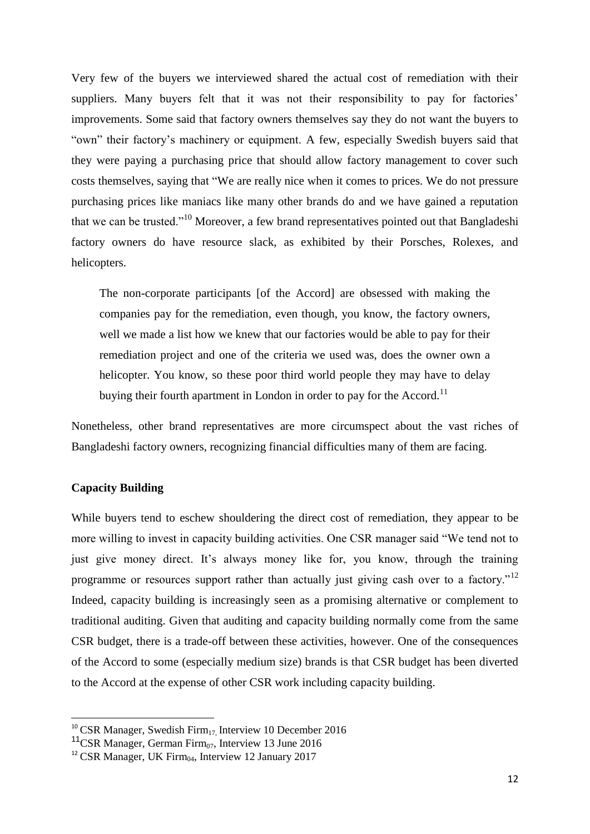Very few of the buyers we interviewed shared the actual cost of remediation with their suppliers. Many buyers felt that it was not their responsibility to pay for factories' improvements. Some said that factory owners themselves say they do not want the buyers to "own" their factory's machinery or equipment. A few, especially Swedish buyers said that they were paying a purchasing price that should allow factory management to cover such costs themselves, saying that "We are really nice when it comes to prices. We do not pressure purchasing prices like maniacs like many other brands do and we have gained a reputation that we can be trusted."<sup>10</sup> Moreover, a few brand representatives pointed out that Bangladeshi factory owners do have resource slack, as exhibited by their Porsches, Rolexes, and helicopters.

The non-corporate participants [of the Accord] are obsessed with making the companies pay for the remediation, even though, you know, the factory owners, well we made a list how we knew that our factories would be able to pay for their remediation project and one of the criteria we used was, does the owner own a helicopter. You know, so these poor third world people they may have to delay buying their fourth apartment in London in order to pay for the Accord.<sup>11</sup>

Nonetheless, other brand representatives are more circumspect about the vast riches of Bangladeshi factory owners, recognizing financial difficulties many of them are facing.

### **Capacity Building**

 $\overline{a}$ 

While buyers tend to eschew shouldering the direct cost of remediation, they appear to be more willing to invest in capacity building activities. One CSR manager said "We tend not to just give money direct. It's always money like for, you know, through the training programme or resources support rather than actually just giving cash over to a factory."<sup>12</sup> Indeed, capacity building is increasingly seen as a promising alternative or complement to traditional auditing. Given that auditing and capacity building normally come from the same CSR budget, there is a trade-off between these activities, however. One of the consequences of the Accord to some (especially medium size) brands is that CSR budget has been diverted to the Accord at the expense of other CSR work including capacity building.

<sup>&</sup>lt;sup>10</sup> CSR Manager, Swedish Firm<sub>17,</sub> Interview 10 December 2016

<sup>&</sup>lt;sup>11</sup>CSR Manager, German Firm<sub>07</sub>, Interview 13 June 2016

<sup>&</sup>lt;sup>12</sup> CSR Manager, UK Firm $\alpha$ , Interview 12 January 2017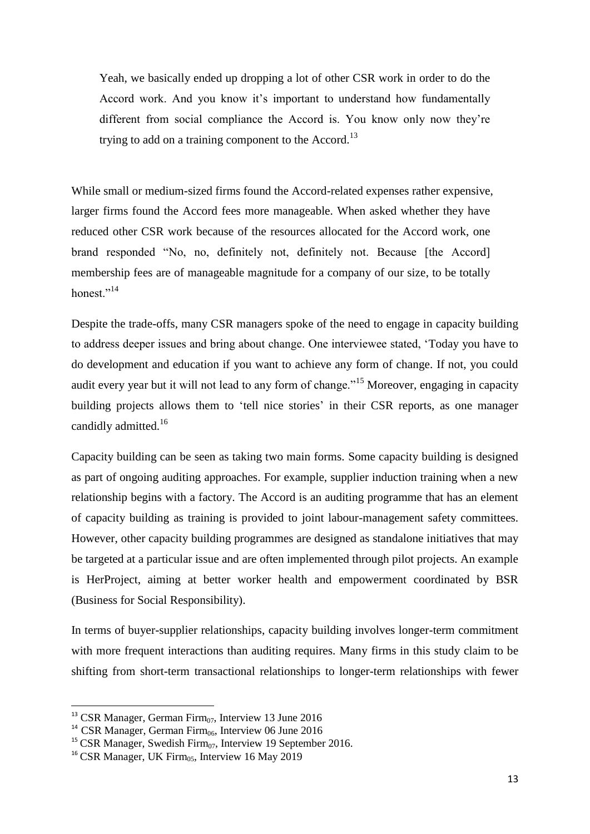Yeah, we basically ended up dropping a lot of other CSR work in order to do the Accord work. And you know it's important to understand how fundamentally different from social compliance the Accord is. You know only now they're trying to add on a training component to the Accord.<sup>13</sup>

While small or medium-sized firms found the Accord-related expenses rather expensive, larger firms found the Accord fees more manageable. When asked whether they have reduced other CSR work because of the resources allocated for the Accord work, one brand responded "No, no, definitely not, definitely not. Because [the Accord] membership fees are of manageable magnitude for a company of our size, to be totally honest $^{1,14}$ 

Despite the trade-offs, many CSR managers spoke of the need to engage in capacity building to address deeper issues and bring about change. One interviewee stated, 'Today you have to do development and education if you want to achieve any form of change. If not, you could audit every year but it will not lead to any form of change."<sup>15</sup> Moreover, engaging in capacity building projects allows them to 'tell nice stories' in their CSR reports, as one manager candidly admitted.<sup>16</sup>

Capacity building can be seen as taking two main forms. Some capacity building is designed as part of ongoing auditing approaches. For example, supplier induction training when a new relationship begins with a factory. The Accord is an auditing programme that has an element of capacity building as training is provided to joint labour-management safety committees. However, other capacity building programmes are designed as standalone initiatives that may be targeted at a particular issue and are often implemented through pilot projects. An example is HerProject, aiming at better worker health and empowerment coordinated by BSR (Business for Social Responsibility).

In terms of buyer-supplier relationships, capacity building involves longer-term commitment with more frequent interactions than auditing requires. Many firms in this study claim to be shifting from short-term transactional relationships to longer-term relationships with fewer

<sup>&</sup>lt;sup>13</sup> CSR Manager, German Firm $_{07}$ , Interview 13 June 2016

<sup>&</sup>lt;sup>14</sup> CSR Manager, German Firm<sub>06</sub>, Interview 06 June 2016

<sup>&</sup>lt;sup>15</sup> CSR Manager, Swedish Firm<sub>07</sub>, Interview 19 September 2016.

<sup>&</sup>lt;sup>16</sup> CSR Manager, UK Firm<sub>05</sub>, Interview 16 May 2019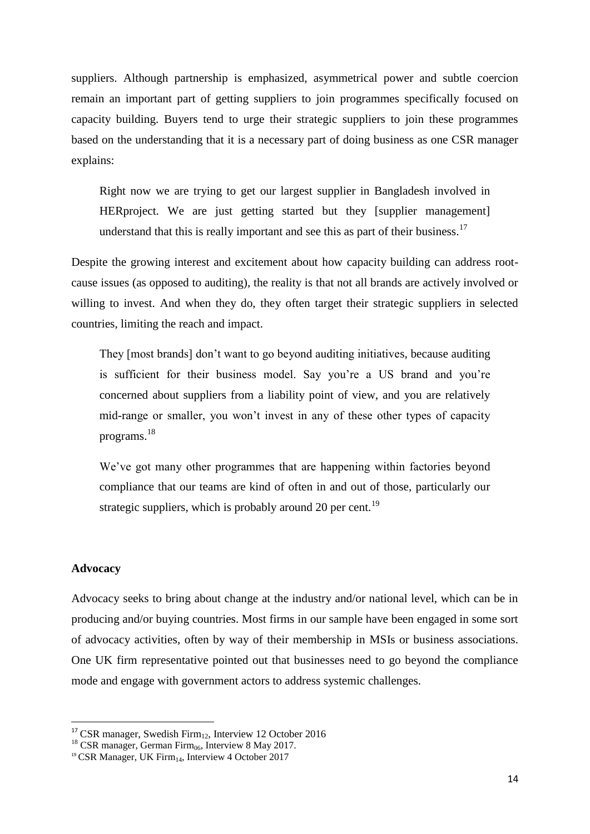suppliers. Although partnership is emphasized, asymmetrical power and subtle coercion remain an important part of getting suppliers to join programmes specifically focused on capacity building. Buyers tend to urge their strategic suppliers to join these programmes based on the understanding that it is a necessary part of doing business as one CSR manager explains:

Right now we are trying to get our largest supplier in Bangladesh involved in HERproject. We are just getting started but they [supplier management] understand that this is really important and see this as part of their business.<sup>17</sup>

Despite the growing interest and excitement about how capacity building can address rootcause issues (as opposed to auditing), the reality is that not all brands are actively involved or willing to invest. And when they do, they often target their strategic suppliers in selected countries, limiting the reach and impact.

They [most brands] don't want to go beyond auditing initiatives, because auditing is sufficient for their business model. Say you're a US brand and you're concerned about suppliers from a liability point of view, and you are relatively mid-range or smaller, you won't invest in any of these other types of capacity programs.<sup>18</sup>

We've got many other programmes that are happening within factories beyond compliance that our teams are kind of often in and out of those, particularly our strategic suppliers, which is probably around 20 per cent.<sup>19</sup>

#### **Advocacy**

**.** 

Advocacy seeks to bring about change at the industry and/or national level, which can be in producing and/or buying countries. Most firms in our sample have been engaged in some sort of advocacy activities, often by way of their membership in MSIs or business associations. One UK firm representative pointed out that businesses need to go beyond the compliance mode and engage with government actors to address systemic challenges.

<sup>&</sup>lt;sup>17</sup> CSR manager, Swedish Firm<sub>12</sub>, Interview 12 October 2016

<sup>&</sup>lt;sup>18</sup> CSR manager, German Firm<sub>06</sub>, Interview 8 May 2017.

<sup>&</sup>lt;sup>19</sup> CSR Manager, UK Firm<sub>14</sub>, Interview 4 October 2017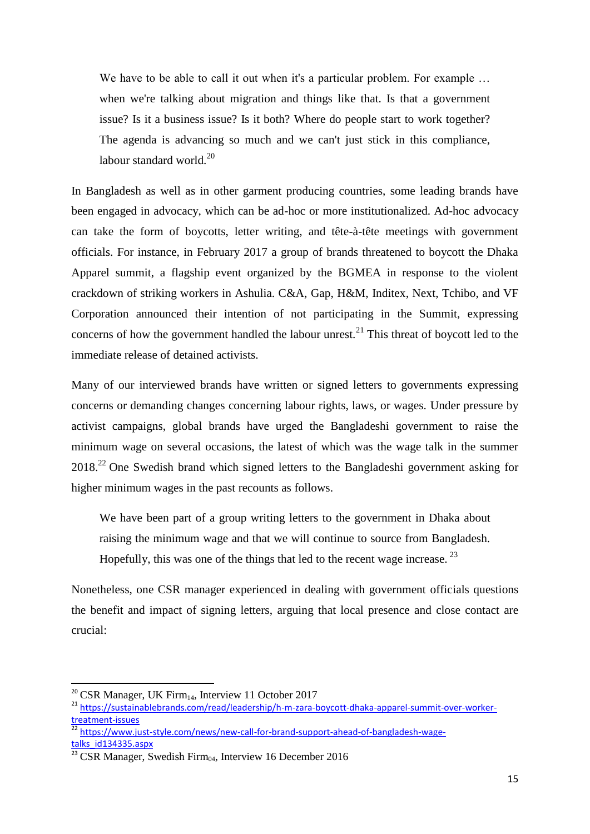We have to be able to call it out when it's a particular problem. For example ... when we're talking about migration and things like that. Is that a government issue? Is it a business issue? Is it both? Where do people start to work together? The agenda is advancing so much and we can't just stick in this compliance, labour standard world. $^{20}$ 

In Bangladesh as well as in other garment producing countries, some leading brands have been engaged in advocacy, which can be ad-hoc or more institutionalized. Ad-hoc advocacy can take the form of boycotts, letter writing, and tête-à-tête meetings with government officials. For instance, in February 2017 a group of brands threatened to boycott the Dhaka Apparel summit, a flagship event organized by the BGMEA in response to the violent crackdown of striking workers in Ashulia. C&A, Gap, H&M, Inditex, Next, Tchibo, and VF Corporation announced their intention of not participating in the Summit, expressing concerns of how the government handled the labour unrest.<sup>21</sup> This threat of boycott led to the immediate release of detained activists.

Many of our interviewed brands have written or signed letters to governments expressing concerns or demanding changes concerning labour rights, laws, or wages. Under pressure by activist campaigns, global brands have urged the Bangladeshi government to raise the minimum wage on several occasions, the latest of which was the wage talk in the summer 2018<sup>22</sup> One Swedish brand which signed letters to the Bangladeshi government asking for higher minimum wages in the past recounts as follows.

We have been part of a group writing letters to the government in Dhaka about raising the minimum wage and that we will continue to source from Bangladesh. Hopefully, this was one of the things that led to the recent wage increase.  $^{23}$ 

Nonetheless, one CSR manager experienced in dealing with government officials questions the benefit and impact of signing letters, arguing that local presence and close contact are crucial:

<sup>&</sup>lt;sup>20</sup> CSR Manager, UK Firm<sub>14</sub>, Interview 11 October 2017

<sup>21</sup> [https://sustainablebrands.com/read/leadership/h-m-zara-boycott-dhaka-apparel-summit-over-worker](https://sustainablebrands.com/read/leadership/h-m-zara-boycott-dhaka-apparel-summit-over-worker-treatment-issues)[treatment-issues](https://sustainablebrands.com/read/leadership/h-m-zara-boycott-dhaka-apparel-summit-over-worker-treatment-issues)

<sup>&</sup>lt;sup>22</sup> [https://www.just-style.com/news/new-call-for-brand-support-ahead-of-bangladesh-wage](https://www.just-style.com/news/new-call-for-brand-support-ahead-of-bangladesh-wage-talks_id134335.aspx)[talks\\_id134335.aspx](https://www.just-style.com/news/new-call-for-brand-support-ahead-of-bangladesh-wage-talks_id134335.aspx)

 $\frac{23}{23}$  CSR Manager, Swedish Firm $\alpha$ , Interview 16 December 2016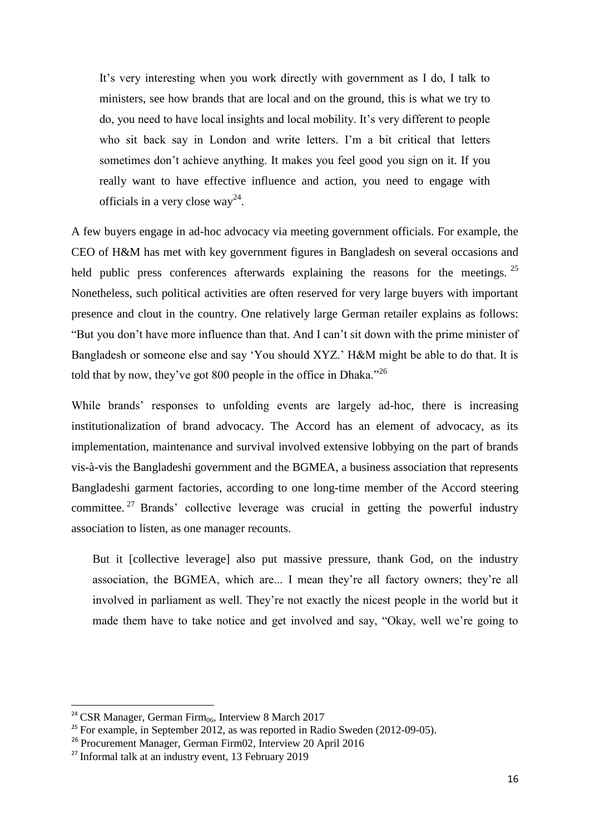It's very interesting when you work directly with government as I do, I talk to ministers, see how brands that are local and on the ground, this is what we try to do, you need to have local insights and local mobility. It's very different to people who sit back say in London and write letters. I'm a bit critical that letters sometimes don't achieve anything. It makes you feel good you sign on it. If you really want to have effective influence and action, you need to engage with officials in a very close way<sup>24</sup>.

A few buyers engage in ad-hoc advocacy via meeting government officials. For example, the CEO of H&M has met with key government figures in Bangladesh on several occasions and held public press conferences afterwards explaining the reasons for the meetings. <sup>25</sup> Nonetheless, such political activities are often reserved for very large buyers with important presence and clout in the country. One relatively large German retailer explains as follows: "But you don't have more influence than that. And I can't sit down with the prime minister of Bangladesh or someone else and say 'You should XYZ.' H&M might be able to do that. It is told that by now, they've got 800 people in the office in Dhaka."<sup>26</sup>

While brands' responses to unfolding events are largely ad-hoc, there is increasing institutionalization of brand advocacy. The Accord has an element of advocacy, as its implementation, maintenance and survival involved extensive lobbying on the part of brands vis-à-vis the Bangladeshi government and the BGMEA, a business association that represents Bangladeshi garment factories, according to one long-time member of the Accord steering committee.<sup>27</sup> Brands' collective leverage was crucial in getting the powerful industry association to listen, as one manager recounts.

But it [collective leverage] also put massive pressure, thank God, on the industry association, the BGMEA, which are... I mean they're all factory owners; they're all involved in parliament as well. They're not exactly the nicest people in the world but it made them have to take notice and get involved and say, "Okay, well we're going to

 $24$  CSR Manager, German Firm<sub>06</sub>, Interview 8 March 2017

 $25$  For example, in September 2012, as was reported in Radio Sweden (2012-09-05).

<sup>26</sup> Procurement Manager, German Firm02, Interview 20 April 2016

 $27$  Informal talk at an industry event, 13 February 2019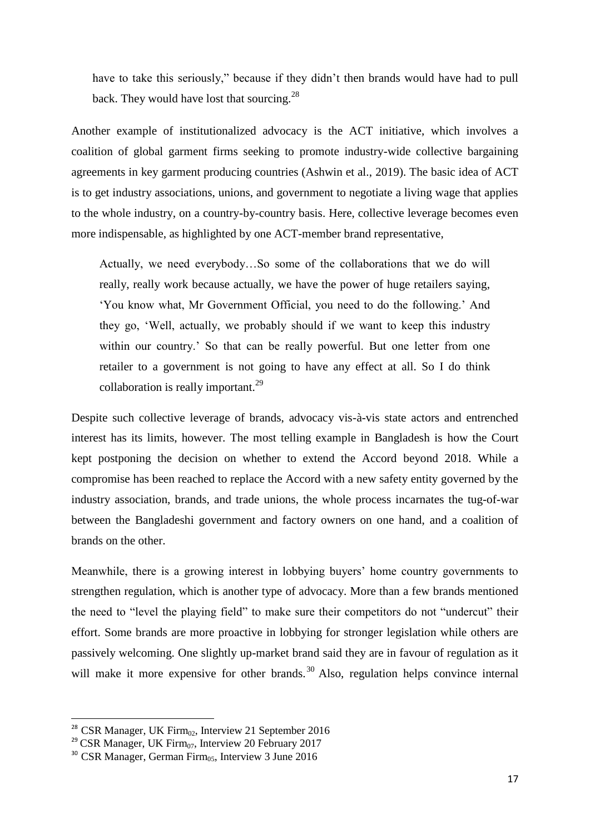have to take this seriously," because if they didn't then brands would have had to pull back. They would have lost that sourcing.<sup>28</sup>

Another example of institutionalized advocacy is the ACT initiative, which involves a coalition of global garment firms seeking to promote industry-wide collective bargaining agreements in key garment producing countries (Ashwin et al., 2019). The basic idea of ACT is to get industry associations, unions, and government to negotiate a living wage that applies to the whole industry, on a country-by-country basis. Here, collective leverage becomes even more indispensable, as highlighted by one ACT-member brand representative,

Actually, we need everybody…So some of the collaborations that we do will really, really work because actually, we have the power of huge retailers saying, 'You know what, Mr Government Official, you need to do the following.' And they go, 'Well, actually, we probably should if we want to keep this industry within our country.' So that can be really powerful. But one letter from one retailer to a government is not going to have any effect at all. So I do think collaboration is really important.<sup>29</sup>

Despite such collective leverage of brands, advocacy vis-à-vis state actors and entrenched interest has its limits, however. The most telling example in Bangladesh is how the Court kept postponing the decision on whether to extend the Accord beyond 2018. While a compromise has been reached to replace the Accord with a new safety entity governed by the industry association, brands, and trade unions, the whole process incarnates the tug-of-war between the Bangladeshi government and factory owners on one hand, and a coalition of brands on the other.

Meanwhile, there is a growing interest in lobbying buyers' home country governments to strengthen regulation, which is another type of advocacy. More than a few brands mentioned the need to "level the playing field" to make sure their competitors do not "undercut" their effort. Some brands are more proactive in lobbying for stronger legislation while others are passively welcoming. One slightly up-market brand said they are in favour of regulation as it will make it more expensive for other brands.<sup>30</sup> Also, regulation helps convince internal

<sup>&</sup>lt;sup>28</sup> CSR Manager, UK Firm<sub>02</sub>, Interview 21 September 2016

<sup>&</sup>lt;sup>29</sup> CSR Manager, UK Firm $_{07}$ , Interview 20 February 2017

 $30$  CSR Manager, German Firm $_{05}$ , Interview 3 June 2016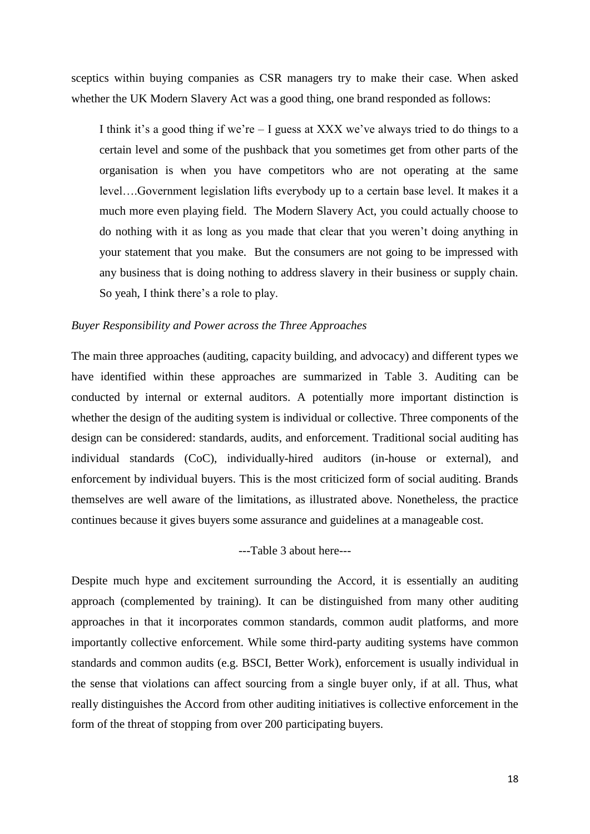sceptics within buying companies as CSR managers try to make their case. When asked whether the UK Modern Slavery Act was a good thing, one brand responded as follows:

I think it's a good thing if we're – I guess at XXX we've always tried to do things to a certain level and some of the pushback that you sometimes get from other parts of the organisation is when you have competitors who are not operating at the same level….Government legislation lifts everybody up to a certain base level. It makes it a much more even playing field. The Modern Slavery Act, you could actually choose to do nothing with it as long as you made that clear that you weren't doing anything in your statement that you make. But the consumers are not going to be impressed with any business that is doing nothing to address slavery in their business or supply chain. So yeah, I think there's a role to play.

#### *Buyer Responsibility and Power across the Three Approaches*

The main three approaches (auditing, capacity building, and advocacy) and different types we have identified within these approaches are summarized in Table 3. Auditing can be conducted by internal or external auditors. A potentially more important distinction is whether the design of the auditing system is individual or collective. Three components of the design can be considered: standards, audits, and enforcement. Traditional social auditing has individual standards (CoC), individually-hired auditors (in-house or external), and enforcement by individual buyers. This is the most criticized form of social auditing. Brands themselves are well aware of the limitations, as illustrated above. Nonetheless, the practice continues because it gives buyers some assurance and guidelines at a manageable cost.

#### ---Table 3 about here---

Despite much hype and excitement surrounding the Accord, it is essentially an auditing approach (complemented by training). It can be distinguished from many other auditing approaches in that it incorporates common standards, common audit platforms, and more importantly collective enforcement. While some third-party auditing systems have common standards and common audits (e.g. BSCI, Better Work), enforcement is usually individual in the sense that violations can affect sourcing from a single buyer only, if at all. Thus, what really distinguishes the Accord from other auditing initiatives is collective enforcement in the form of the threat of stopping from over 200 participating buyers.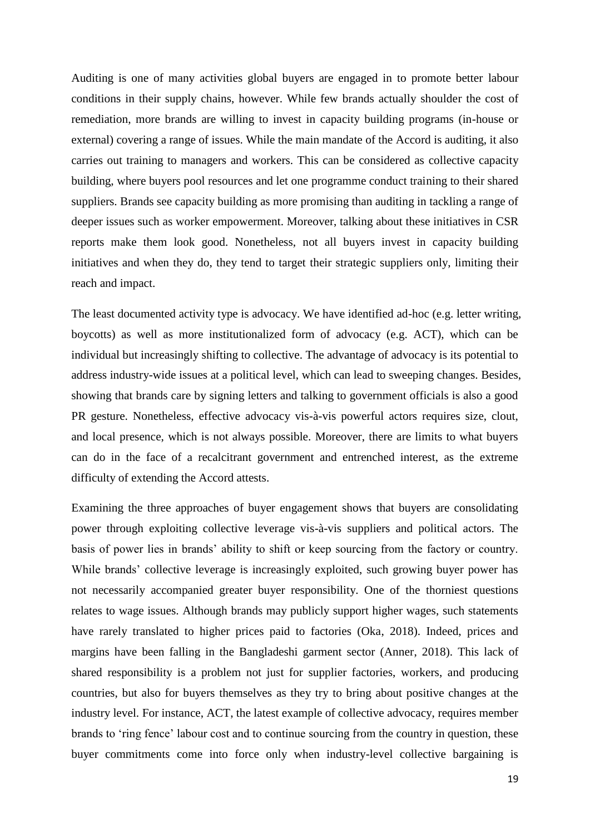Auditing is one of many activities global buyers are engaged in to promote better labour conditions in their supply chains, however. While few brands actually shoulder the cost of remediation, more brands are willing to invest in capacity building programs (in-house or external) covering a range of issues. While the main mandate of the Accord is auditing, it also carries out training to managers and workers. This can be considered as collective capacity building, where buyers pool resources and let one programme conduct training to their shared suppliers. Brands see capacity building as more promising than auditing in tackling a range of deeper issues such as worker empowerment. Moreover, talking about these initiatives in CSR reports make them look good. Nonetheless, not all buyers invest in capacity building initiatives and when they do, they tend to target their strategic suppliers only, limiting their reach and impact.

The least documented activity type is advocacy. We have identified ad-hoc (e.g. letter writing, boycotts) as well as more institutionalized form of advocacy (e.g. ACT), which can be individual but increasingly shifting to collective. The advantage of advocacy is its potential to address industry-wide issues at a political level, which can lead to sweeping changes. Besides, showing that brands care by signing letters and talking to government officials is also a good PR gesture. Nonetheless, effective advocacy vis-à-vis powerful actors requires size, clout, and local presence, which is not always possible. Moreover, there are limits to what buyers can do in the face of a recalcitrant government and entrenched interest, as the extreme difficulty of extending the Accord attests.

Examining the three approaches of buyer engagement shows that buyers are consolidating power through exploiting collective leverage vis-à-vis suppliers and political actors. The basis of power lies in brands' ability to shift or keep sourcing from the factory or country. While brands' collective leverage is increasingly exploited, such growing buyer power has not necessarily accompanied greater buyer responsibility. One of the thorniest questions relates to wage issues. Although brands may publicly support higher wages, such statements have rarely translated to higher prices paid to factories (Oka, 2018). Indeed, prices and margins have been falling in the Bangladeshi garment sector (Anner, 2018). This lack of shared responsibility is a problem not just for supplier factories, workers, and producing countries, but also for buyers themselves as they try to bring about positive changes at the industry level. For instance, ACT, the latest example of collective advocacy, requires member brands to 'ring fence' labour cost and to continue sourcing from the country in question, these buyer commitments come into force only when industry-level collective bargaining is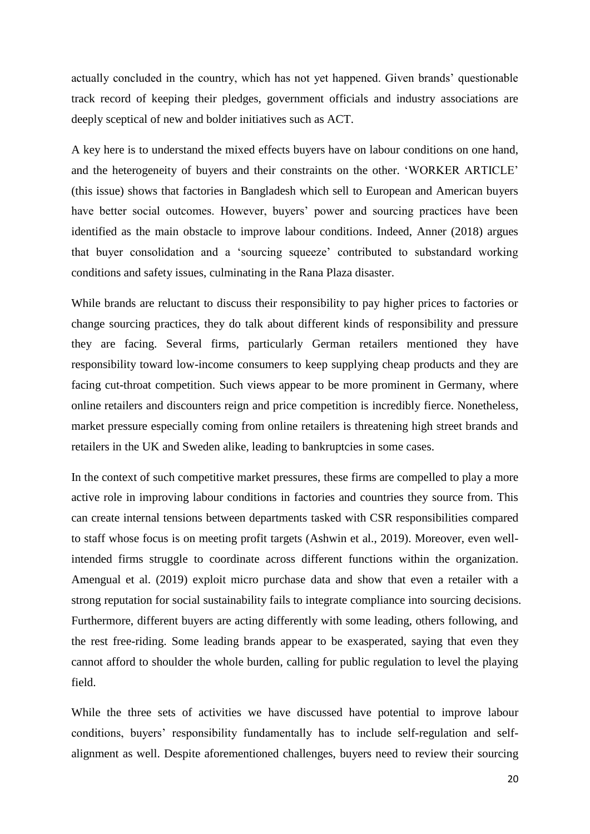actually concluded in the country, which has not yet happened. Given brands' questionable track record of keeping their pledges, government officials and industry associations are deeply sceptical of new and bolder initiatives such as ACT.

A key here is to understand the mixed effects buyers have on labour conditions on one hand, and the heterogeneity of buyers and their constraints on the other. 'WORKER ARTICLE' (this issue) shows that factories in Bangladesh which sell to European and American buyers have better social outcomes. However, buyers' power and sourcing practices have been identified as the main obstacle to improve labour conditions. Indeed, Anner (2018) argues that buyer consolidation and a 'sourcing squeeze' contributed to substandard working conditions and safety issues, culminating in the Rana Plaza disaster.

While brands are reluctant to discuss their responsibility to pay higher prices to factories or change sourcing practices, they do talk about different kinds of responsibility and pressure they are facing. Several firms, particularly German retailers mentioned they have responsibility toward low-income consumers to keep supplying cheap products and they are facing cut-throat competition. Such views appear to be more prominent in Germany, where online retailers and discounters reign and price competition is incredibly fierce. Nonetheless, market pressure especially coming from online retailers is threatening high street brands and retailers in the UK and Sweden alike, leading to bankruptcies in some cases.

In the context of such competitive market pressures, these firms are compelled to play a more active role in improving labour conditions in factories and countries they source from. This can create internal tensions between departments tasked with CSR responsibilities compared to staff whose focus is on meeting profit targets (Ashwin et al., 2019). Moreover, even wellintended firms struggle to coordinate across different functions within the organization. Amengual et al. (2019) exploit micro purchase data and show that even a retailer with a strong reputation for social sustainability fails to integrate compliance into sourcing decisions. Furthermore, different buyers are acting differently with some leading, others following, and the rest free-riding. Some leading brands appear to be exasperated, saying that even they cannot afford to shoulder the whole burden, calling for public regulation to level the playing field.

While the three sets of activities we have discussed have potential to improve labour conditions, buyers' responsibility fundamentally has to include self-regulation and selfalignment as well. Despite aforementioned challenges, buyers need to review their sourcing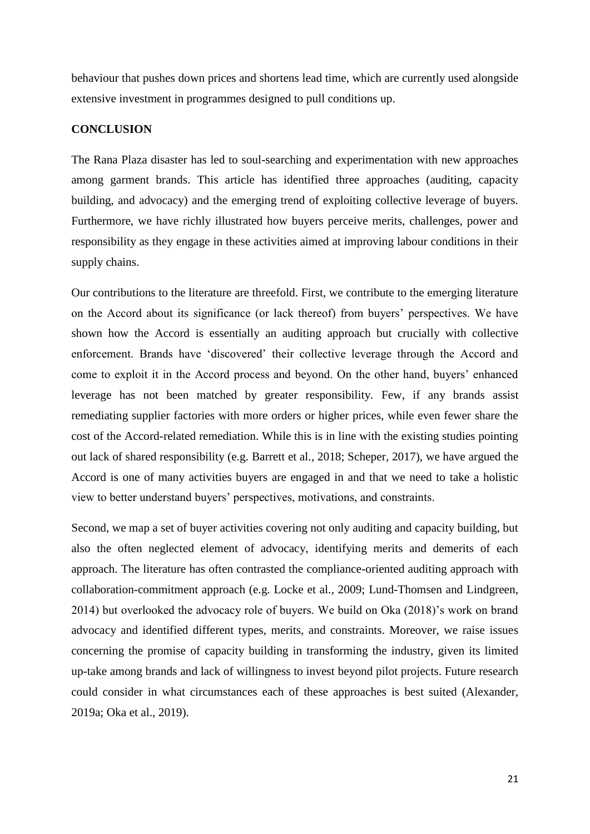behaviour that pushes down prices and shortens lead time, which are currently used alongside extensive investment in programmes designed to pull conditions up.

## **CONCLUSION**

The Rana Plaza disaster has led to soul-searching and experimentation with new approaches among garment brands. This article has identified three approaches (auditing, capacity building, and advocacy) and the emerging trend of exploiting collective leverage of buyers. Furthermore, we have richly illustrated how buyers perceive merits, challenges, power and responsibility as they engage in these activities aimed at improving labour conditions in their supply chains.

Our contributions to the literature are threefold. First, we contribute to the emerging literature on the Accord about its significance (or lack thereof) from buyers' perspectives. We have shown how the Accord is essentially an auditing approach but crucially with collective enforcement. Brands have 'discovered' their collective leverage through the Accord and come to exploit it in the Accord process and beyond. On the other hand, buyers' enhanced leverage has not been matched by greater responsibility. Few, if any brands assist remediating supplier factories with more orders or higher prices, while even fewer share the cost of the Accord-related remediation. While this is in line with the existing studies pointing out lack of shared responsibility (e.g. Barrett et al., 2018; Scheper, 2017), we have argued the Accord is one of many activities buyers are engaged in and that we need to take a holistic view to better understand buyers' perspectives, motivations, and constraints.

Second, we map a set of buyer activities covering not only auditing and capacity building, but also the often neglected element of advocacy, identifying merits and demerits of each approach. The literature has often contrasted the compliance-oriented auditing approach with collaboration-commitment approach (e.g. Locke et al., 2009; Lund-Thomsen and Lindgreen, 2014) but overlooked the advocacy role of buyers. We build on Oka (2018)'s work on brand advocacy and identified different types, merits, and constraints. Moreover, we raise issues concerning the promise of capacity building in transforming the industry, given its limited up-take among brands and lack of willingness to invest beyond pilot projects. Future research could consider in what circumstances each of these approaches is best suited (Alexander, 2019a; Oka et al., 2019).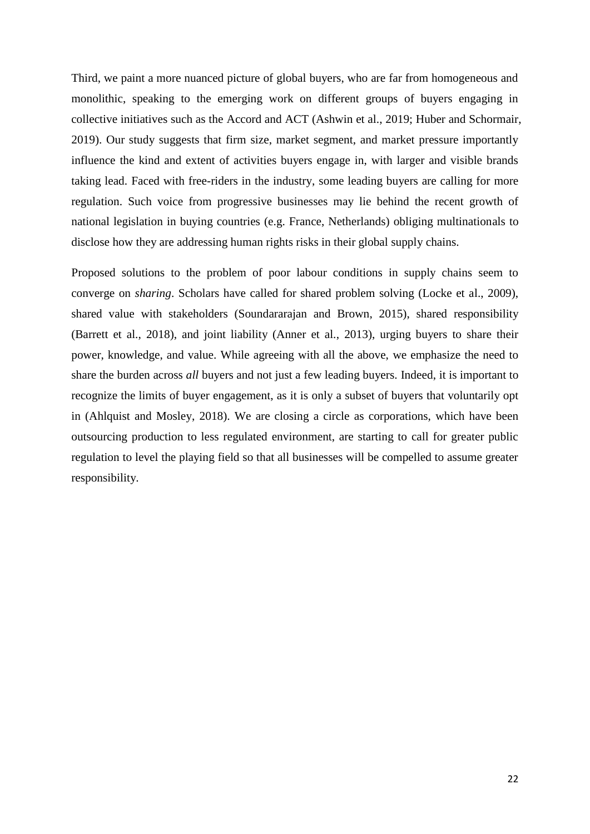Third, we paint a more nuanced picture of global buyers, who are far from homogeneous and monolithic, speaking to the emerging work on different groups of buyers engaging in collective initiatives such as the Accord and ACT (Ashwin et al., 2019; Huber and Schormair, 2019). Our study suggests that firm size, market segment, and market pressure importantly influence the kind and extent of activities buyers engage in, with larger and visible brands taking lead. Faced with free-riders in the industry, some leading buyers are calling for more regulation. Such voice from progressive businesses may lie behind the recent growth of national legislation in buying countries (e.g. France, Netherlands) obliging multinationals to disclose how they are addressing human rights risks in their global supply chains.

Proposed solutions to the problem of poor labour conditions in supply chains seem to converge on *sharing*. Scholars have called for shared problem solving (Locke et al., 2009), shared value with stakeholders (Soundararajan and Brown, 2015), shared responsibility (Barrett et al., 2018), and joint liability (Anner et al., 2013), urging buyers to share their power, knowledge, and value. While agreeing with all the above, we emphasize the need to share the burden across *all* buyers and not just a few leading buyers. Indeed, it is important to recognize the limits of buyer engagement, as it is only a subset of buyers that voluntarily opt in (Ahlquist and Mosley, 2018). We are closing a circle as corporations, which have been outsourcing production to less regulated environment, are starting to call for greater public regulation to level the playing field so that all businesses will be compelled to assume greater responsibility.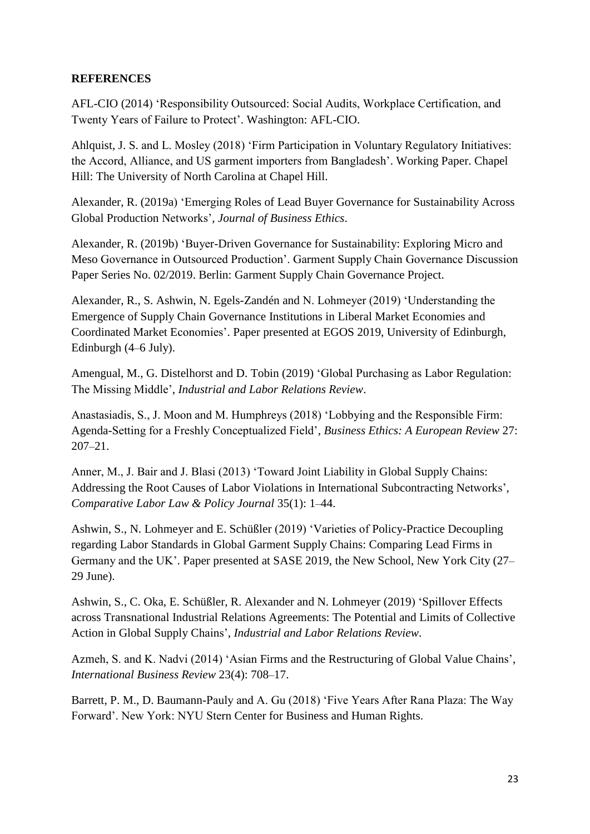## **REFERENCES**

AFL-CIO (2014) 'Responsibility Outsourced: Social Audits, Workplace Certification, and Twenty Years of Failure to Protect'. Washington: AFL-CIO.

Ahlquist, J. S. and L. Mosley (2018) 'Firm Participation in Voluntary Regulatory Initiatives: the Accord, Alliance, and US garment importers from Bangladesh'. Working Paper. Chapel Hill: The University of North Carolina at Chapel Hill.

Alexander, R. (2019a) 'Emerging Roles of Lead Buyer Governance for Sustainability Across Global Production Networks', *Journal of Business Ethics*.

Alexander, R. (2019b) 'Buyer-Driven Governance for Sustainability: Exploring Micro and Meso Governance in Outsourced Production'. Garment Supply Chain Governance Discussion Paper Series No. 02/2019. Berlin: Garment Supply Chain Governance Project.

Alexander, R., S. Ashwin, N. Egels-Zandén and N. Lohmeyer (2019) 'Understanding the Emergence of Supply Chain Governance Institutions in Liberal Market Economies and Coordinated Market Economies'. Paper presented at EGOS 2019, University of Edinburgh, Edinburgh (4–6 July).

Amengual, M., G. Distelhorst and D. Tobin (2019) 'Global Purchasing as Labor Regulation: The Missing Middle', *Industrial and Labor Relations Review*.

Anastasiadis, S., J. Moon and M. Humphreys (2018) 'Lobbying and the Responsible Firm: Agenda-Setting for a Freshly Conceptualized Field', *Business Ethics: A European Review* 27: 207–21.

Anner, M., J. Bair and J. Blasi (2013) 'Toward Joint Liability in Global Supply Chains: Addressing the Root Causes of Labor Violations in International Subcontracting Networks', *Comparative Labor Law & Policy Journal* 35(1): 1–44.

Ashwin, S., N. Lohmeyer and E. Schüßler (2019) 'Varieties of Policy-Practice Decoupling regarding Labor Standards in Global Garment Supply Chains: Comparing Lead Firms in Germany and the UK'. Paper presented at SASE 2019, the New School, New York City (27– 29 June).

Ashwin, S., C. Oka, E. Schüßler, R. Alexander and N. Lohmeyer (2019) 'Spillover Effects across Transnational Industrial Relations Agreements: The Potential and Limits of Collective Action in Global Supply Chains', *Industrial and Labor Relations Review*.

Azmeh, S. and K. Nadvi (2014) 'Asian Firms and the Restructuring of Global Value Chains', *International Business Review* 23(4): 708–17.

Barrett, P. M., D. Baumann-Pauly and A. Gu (2018) 'Five Years After Rana Plaza: The Way Forward'. New York: NYU Stern Center for Business and Human Rights.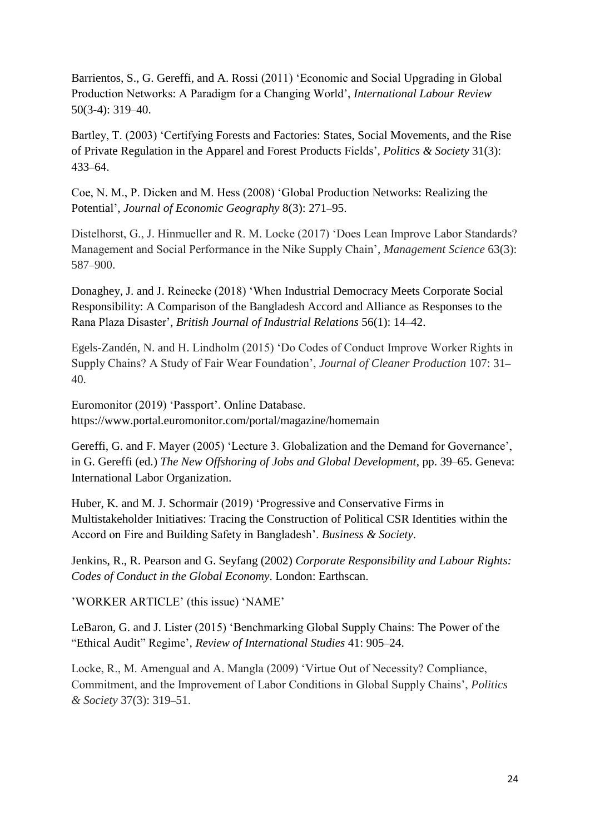Barrientos, S., G. Gereffi, and A. Rossi (2011) 'Economic and Social Upgrading in Global Production Networks: A Paradigm for a Changing World', *International Labour Review* 50(3-4): 319–40.

Bartley, T. (2003) 'Certifying Forests and Factories: States, Social Movements, and the Rise of Private Regulation in the Apparel and Forest Products Fields', *Politics & Society* 31(3): 433–64.

Coe, N. M., P. Dicken and M. Hess (2008) 'Global Production Networks: Realizing the Potential', *Journal of Economic Geography* 8(3): 271–95.

Distelhorst, G., J. Hinmueller and R. M. Locke (2017) 'Does Lean Improve Labor Standards? Management and Social Performance in the Nike Supply Chain', *Management Science* 63(3): 587–900.

Donaghey, J. and J. Reinecke (2018) 'When Industrial Democracy Meets Corporate Social Responsibility: A Comparison of the Bangladesh Accord and Alliance as Responses to the Rana Plaza Disaster', *British Journal of Industrial Relations* 56(1): 14–42.

Egels-Zandén, N. and H. Lindholm (2015) 'Do Codes of Conduct Improve Worker Rights in Supply Chains? A Study of Fair Wear Foundation', *Journal of Cleaner Production* 107: 31– 40.

Euromonitor (2019) 'Passport'. Online Database. https://www.portal.euromonitor.com/portal/magazine/homemain

Gereffi, G. and F. Mayer (2005) 'Lecture 3. Globalization and the Demand for Governance', in G. Gereffi (ed.) *The New Offshoring of Jobs and Global Development*, pp. 39–65. Geneva: International Labor Organization.

Huber, K. and M. J. Schormair (2019) 'Progressive and Conservative Firms in Multistakeholder Initiatives: Tracing the Construction of Political CSR Identities within the Accord on Fire and Building Safety in Bangladesh'. *Business & Society*.

Jenkins, R., R. Pearson and G. Seyfang (2002) *Corporate Responsibility and Labour Rights: Codes of Conduct in the Global Economy*. London: Earthscan.

'WORKER ARTICLE' (this issue) 'NAME'

LeBaron, G. and J. Lister (2015) 'Benchmarking Global Supply Chains: The Power of the "Ethical Audit" Regime', *Review of International Studies* 41: 905–24.

Locke, R., M. Amengual and A. Mangla (2009) 'Virtue Out of Necessity? Compliance, Commitment, and the Improvement of Labor Conditions in Global Supply Chains', *Politics & Society* 37(3): 319–51.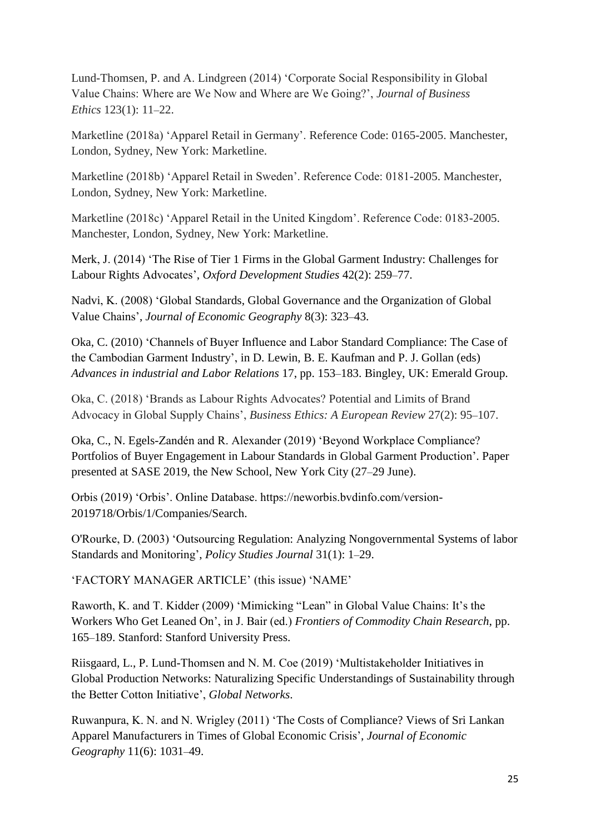Lund-Thomsen, P. and A. Lindgreen (2014) 'Corporate Social Responsibility in Global Value Chains: Where are We Now and Where are We Going?', *Journal of Business Ethics* 123(1): 11–22.

Marketline (2018a) 'Apparel Retail in Germany'. Reference Code: 0165-2005. Manchester, London, Sydney, New York: Marketline.

Marketline (2018b) 'Apparel Retail in Sweden'. Reference Code: 0181-2005. Manchester, London, Sydney, New York: Marketline.

Marketline (2018c) 'Apparel Retail in the United Kingdom'. Reference Code: 0183-2005. Manchester, London, Sydney, New York: Marketline.

Merk, J. (2014) 'The Rise of Tier 1 Firms in the Global Garment Industry: Challenges for Labour Rights Advocates', *Oxford Development Studies* 42(2): 259–77.

Nadvi, K. (2008) 'Global Standards, Global Governance and the Organization of Global Value Chains', *Journal of Economic Geography* 8(3): 323–43.

Oka, C. (2010) 'Channels of Buyer Influence and Labor Standard Compliance: The Case of the Cambodian Garment Industry', in D. Lewin, B. E. Kaufman and P. J. Gollan (eds) *Advances in industrial and Labor Relations* 17, pp. 153–183. Bingley, UK: Emerald Group.

Oka, C. (2018) 'Brands as Labour Rights Advocates? Potential and Limits of Brand Advocacy in Global Supply Chains', *Business Ethics: A European Review* 27(2): 95–107.

Oka, C., N. Egels-Zandén and R. Alexander (2019) 'Beyond Workplace Compliance? Portfolios of Buyer Engagement in Labour Standards in Global Garment Production'. Paper presented at SASE 2019, the New School, New York City (27–29 June).

Orbis (2019) 'Orbis'. Online Database. https://neworbis.bvdinfo.com/version-2019718/Orbis/1/Companies/Search.

O'Rourke, D. (2003) 'Outsourcing Regulation: Analyzing Nongovernmental Systems of labor Standards and Monitoring', *Policy Studies Journal* 31(1): 1–29.

'FACTORY MANAGER ARTICLE' (this issue) 'NAME'

Raworth, K. and T. Kidder (2009) 'Mimicking "Lean" in Global Value Chains: It's the Workers Who Get Leaned On', in J. Bair (ed.) *Frontiers of Commodity Chain Research*, pp. 165–189. Stanford: Stanford University Press.

Riisgaard, L., P. Lund-Thomsen and N. M. Coe (2019) 'Multistakeholder Initiatives in Global Production Networks: Naturalizing Specific Understandings of Sustainability through the Better Cotton Initiative', *Global Networks*.

Ruwanpura, K. N. and N. Wrigley (2011) 'The Costs of Compliance? Views of Sri Lankan Apparel Manufacturers in Times of Global Economic Crisis', *Journal of Economic Geography* 11(6): 1031–49.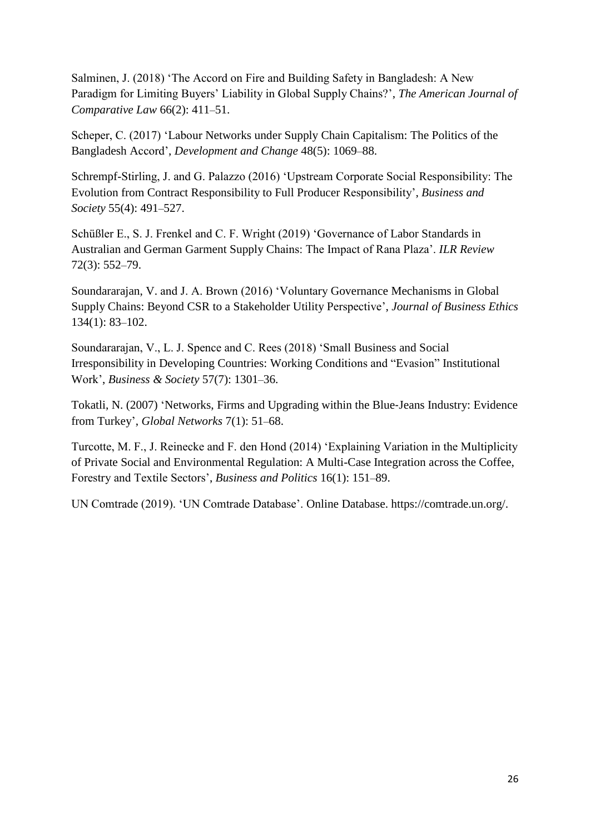Salminen, J. (2018) 'The Accord on Fire and Building Safety in Bangladesh: A New Paradigm for Limiting Buyers' Liability in Global Supply Chains?', *The American Journal of Comparative Law* 66(2): 411–51.

Scheper, C. (2017) 'Labour Networks under Supply Chain Capitalism: The Politics of the Bangladesh Accord', *Development and Change* 48(5): 1069–88.

Schrempf-Stirling, J. and G. Palazzo (2016) 'Upstream Corporate Social Responsibility: The Evolution from Contract Responsibility to Full Producer Responsibility', *Business and Society* 55(4): 491–527.

Schüßler E., S. J. Frenkel and C. F. Wright (2019) 'Governance of Labor Standards in Australian and German Garment Supply Chains: The Impact of Rana Plaza'. *ILR Review* 72(3): 552–79.

Soundararajan, V. and J. A. Brown (2016) 'Voluntary Governance Mechanisms in Global Supply Chains: Beyond CSR to a Stakeholder Utility Perspective', *Journal of Business Ethics* 134(1): 83–102.

Soundararajan, V., L. J. Spence and C. Rees (2018) 'Small Business and Social Irresponsibility in Developing Countries: Working Conditions and "Evasion" Institutional Work', *Business & Society* 57(7): 1301–36.

Tokatli, N. (2007) 'Networks, Firms and Upgrading within the Blue‐Jeans Industry: Evidence from Turkey', *Global Networks* 7(1): 51–68.

Turcotte, M. F., J. Reinecke and F. den Hond (2014) 'Explaining Variation in the Multiplicity of Private Social and Environmental Regulation: A Multi-Case Integration across the Coffee, Forestry and Textile Sectors', *Business and Politics* 16(1): 151–89.

UN Comtrade (2019). 'UN Comtrade Database'. Online Database. https://comtrade.un.org/.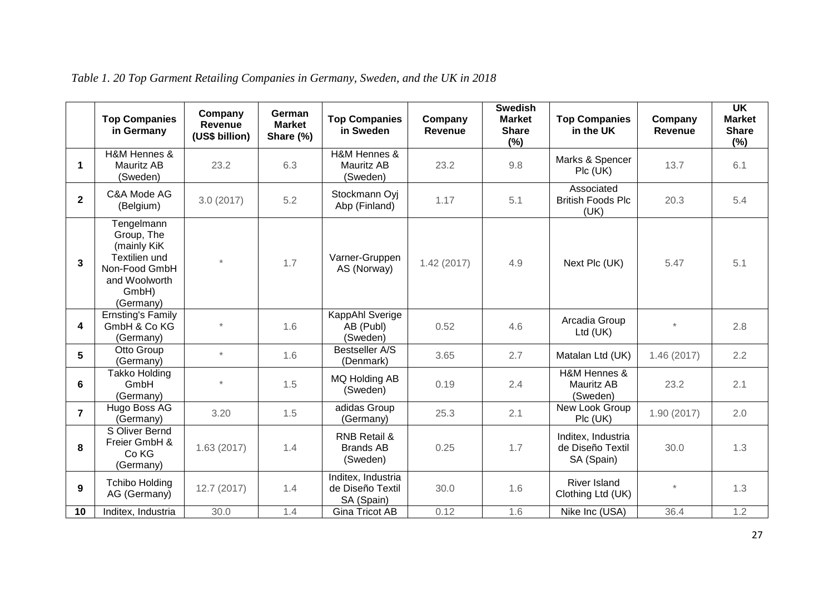|                         | <b>Top Companies</b><br>in Germany                                                                               | Company<br>Revenue<br>(US\$ billion) | German<br><b>Market</b><br>Share (%) | <b>Top Companies</b><br>in Sweden                            | Company<br>Revenue | <b>Swedish</b><br><b>Market</b><br><b>Share</b><br>(%) | <b>Top Companies</b><br>in the UK                    | Company<br><b>Revenue</b> | $\overline{\mathsf{UK}}$<br><b>Market</b><br><b>Share</b><br>(%) |
|-------------------------|------------------------------------------------------------------------------------------------------------------|--------------------------------------|--------------------------------------|--------------------------------------------------------------|--------------------|--------------------------------------------------------|------------------------------------------------------|---------------------------|------------------------------------------------------------------|
| $\blacktriangleleft$    | <b>H&amp;M Hennes &amp;</b><br>Mauritz AB<br>(Sweden)                                                            | 23.2                                 | 6.3                                  | <b>H&amp;M Hennes &amp;</b><br><b>Mauritz AB</b><br>(Sweden) | 23.2               | 9.8                                                    | Marks & Spencer<br>$Pic$ (UK)                        | 13.7                      | 6.1                                                              |
| $\overline{\mathbf{2}}$ | C&A Mode AG<br>(Belgium)                                                                                         | 3.0(2017)                            | 5.2                                  | Stockmann Oyi<br>Abp (Finland)                               | 1.17               | 5.1                                                    | Associated<br><b>British Foods Plc</b><br>(UK)       | 20.3                      | 5.4                                                              |
| 3                       | Tengelmann<br>Group, The<br>(mainly KiK<br>Textilien und<br>Non-Food GmbH<br>and Woolworth<br>GmbH)<br>(Germany) | $^\star$                             | 1.7                                  | Varner-Gruppen<br>AS (Norway)                                | 1.42(2017)         | 4.9                                                    | Next Plc (UK)                                        | 5.47                      | 5.1                                                              |
| 4                       | <b>Ernsting's Family</b><br>GmbH & Co KG<br>(Germany)                                                            |                                      | 1.6                                  | KappAhl Sverige<br>AB (Publ)<br>(Sweden)                     | 0.52               | 4.6                                                    | Arcadia Group<br>Ltd (UK)                            | $\star$                   | 2.8                                                              |
| 5                       | Otto Group<br>(Germany)                                                                                          | $\star$                              | 1.6                                  | Bestseller A/S<br>(Denmark)                                  | 3.65               | 2.7                                                    | Matalan Ltd (UK)                                     | 1.46(2017)                | 2.2                                                              |
| 6                       | <b>Takko Holding</b><br>GmbH<br>(Germany)                                                                        | $\star$                              | 1.5                                  | MQ Holding AB<br>(Sweden)                                    | 0.19               | 2.4                                                    | H&M Hennes &<br>Mauritz AB<br>(Sweden)               | 23.2                      | 2.1                                                              |
| $\overline{7}$          | Hugo Boss AG<br>(Germany)                                                                                        | 3.20                                 | 1.5                                  | adidas Group<br>(Germany)                                    | 25.3               | 2.1                                                    | New Look Group<br>Plc (UK)                           | 1.90(2017)                | 2.0                                                              |
| 8                       | S Oliver Bernd<br>Freier GmbH &<br>Co KG<br>(Germany)                                                            | 1.63(2017)                           | 1.4                                  | <b>RNB Retail &amp;</b><br><b>Brands AB</b><br>(Sweden)      | 0.25               | 1.7                                                    | Inditex, Industria<br>de Diseño Textil<br>SA (Spain) | 30.0                      | 1.3                                                              |
| 9                       | <b>Tchibo Holding</b><br>AG (Germany)                                                                            | 12.7 (2017)                          | 1.4                                  | Inditex, Industria<br>de Diseño Textil<br>SA (Spain)         | 30.0               | 1.6                                                    | <b>River Island</b><br>Clothing Ltd (UK)             | $\star$                   | 1.3                                                              |
| 10                      | Inditex, Industria                                                                                               | 30.0                                 | 1.4                                  | <b>Gina Tricot AB</b>                                        | 0.12               | 1.6                                                    | Nike Inc (USA)                                       | 36.4                      | 1.2                                                              |

*Table 1. 20 Top Garment Retailing Companies in Germany, Sweden, and the UK in 2018*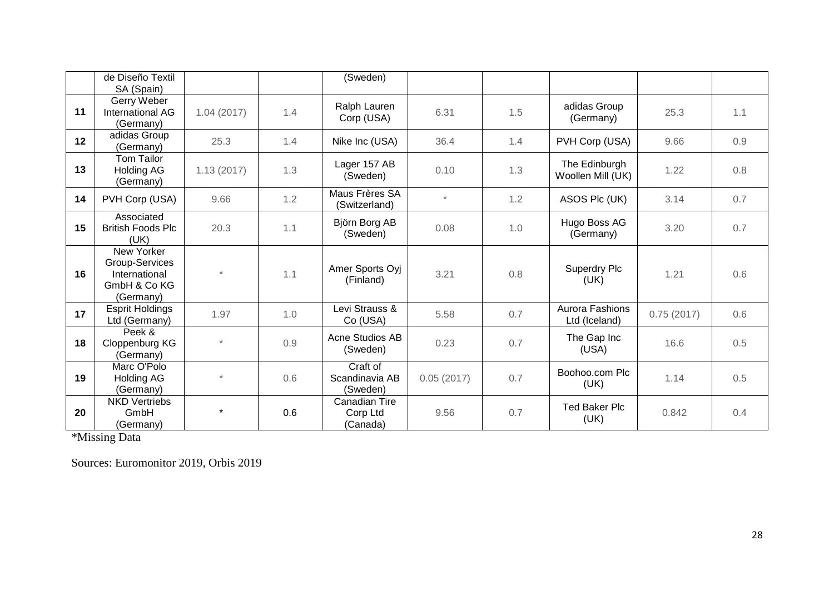|    | de Diseño Textil<br>SA (Spain)                                             |            |     | (Sweden)                               |            |     |                                    |            |     |
|----|----------------------------------------------------------------------------|------------|-----|----------------------------------------|------------|-----|------------------------------------|------------|-----|
| 11 | Gerry Weber<br>International AG<br>(Germany)                               | 1.04(2017) | 1.4 | Ralph Lauren<br>Corp (USA)             | 6.31       | 1.5 | adidas Group<br>(Germany)          | 25.3       | 1.1 |
| 12 | adidas Group<br>(Germany)                                                  | 25.3       | 1.4 | Nike Inc (USA)                         | 36.4       | 1.4 | PVH Corp (USA)                     | 9.66       | 0.9 |
| 13 | <b>Tom Tailor</b><br><b>Holding AG</b><br>(Germany)                        | 1.13(2017) | 1.3 | Lager 157 AB<br>(Sweden)               | 0.10       | 1.3 | The Edinburgh<br>Woollen Mill (UK) | 1.22       | 0.8 |
| 14 | PVH Corp (USA)                                                             | 9.66       | 1.2 | Maus Frères SA<br>(Switzerland)        | $\star$    | 1.2 | ASOS Plc (UK)                      | 3.14       | 0.7 |
| 15 | Associated<br><b>British Foods Plc</b><br>(UK)                             | 20.3       | 1.1 | Björn Borg AB<br>(Sweden)              | 0.08       | 1.0 | Hugo Boss AG<br>(Germany)          | 3.20       | 0.7 |
| 16 | New Yorker<br>Group-Services<br>International<br>GmbH & Co KG<br>(Germany) | $\star$    | 1.1 | Amer Sports Oyj<br>(Finland)           | 3.21       | 0.8 | Superdry Plc<br>(UK)               | 1.21       | 0.6 |
| 17 | <b>Esprit Holdings</b><br>Ltd (Germany)                                    | 1.97       | 1.0 | Levi Strauss &<br>Co (USA)             | 5.58       | 0.7 | Aurora Fashions<br>Ltd (Iceland)   | 0.75(2017) | 0.6 |
| 18 | Peek &<br>Cloppenburg KG<br>(Germany)                                      | $\star$    | 0.9 | Acne Studios AB<br>(Sweden)            | 0.23       | 0.7 | The Gap Inc<br>(USA)               | 16.6       | 0.5 |
| 19 | Marc O'Polo<br>Holding AG<br>(Germany)                                     | $\star$    | 0.6 | Craft of<br>Scandinavia AB<br>(Sweden) | 0.05(2017) | 0.7 | Boohoo.com Plc<br>(UK)             | 1.14       | 0.5 |
| 20 | <b>NKD Vertriebs</b><br>GmbH<br>(Germany)                                  | $\star$    | 0.6 | Canadian Tire<br>Corp Ltd<br>(Canada)  | 9.56       | 0.7 | <b>Ted Baker Plc</b><br>(UK)       | 0.842      | 0.4 |

\*Missing Data

Sources: Euromonitor 2019, Orbis 2019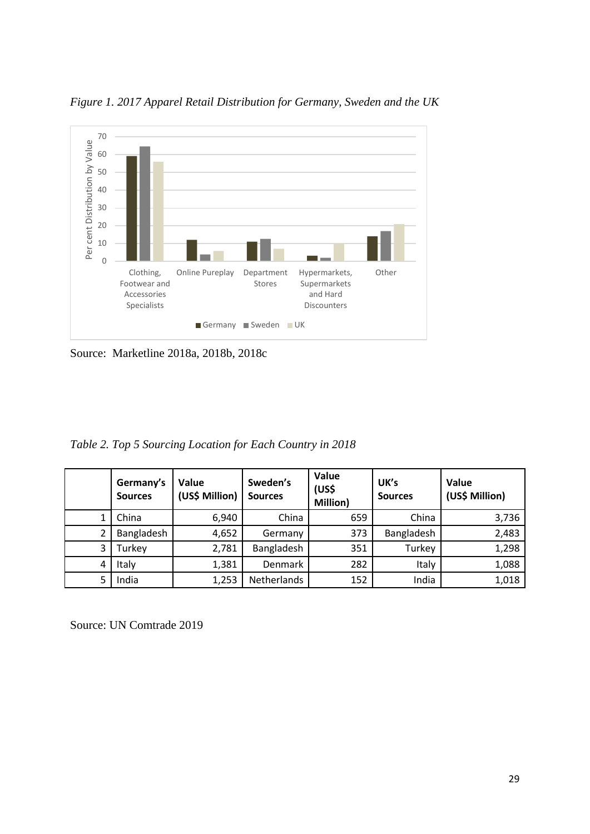

*Figure 1. 2017 Apparel Retail Distribution for Germany, Sweden and the UK* 

Source: Marketline 2018a, 2018b, 2018c

*Table 2. Top 5 Sourcing Location for Each Country in 2018*

|   | Germany's<br><b>Sources</b> | Value<br>(US\$ Million) | Sweden's<br><b>Sources</b> | Value<br>(US\$<br>Million) | UK's<br><b>Sources</b> | Value<br>(US\$ Million) |
|---|-----------------------------|-------------------------|----------------------------|----------------------------|------------------------|-------------------------|
| 1 | China                       | 6,940                   | China                      | 659                        | China                  | 3,736                   |
| 2 | Bangladesh                  | 4,652                   | Germany                    | 373                        | Bangladesh             | 2,483                   |
| 3 | Turkey                      | 2,781                   | Bangladesh                 | 351                        | Turkey                 | 1,298                   |
| 4 | Italy                       | 1,381                   | Denmark                    | 282                        | Italy                  | 1,088                   |
| 5 | India                       | 1,253                   | Netherlands                | 152                        | India                  | 1,018                   |

Source: UN Comtrade 2019